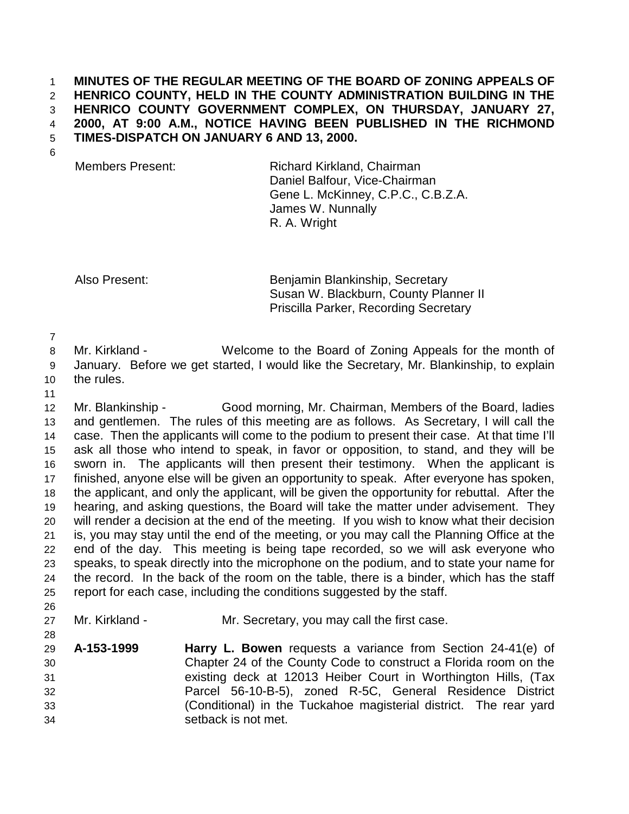## 1 **MINUTES OF THE REGULAR MEETING OF THE BOARD OF ZONING APPEALS OF**  2 **HENRICO COUNTY, HELD IN THE COUNTY ADMINISTRATION BUILDING IN THE**  3 **HENRICO COUNTY GOVERNMENT COMPLEX, ON THURSDAY, JANUARY 27,**  4 **2000, AT 9:00 A.M., NOTICE HAVING BEEN PUBLISHED IN THE RICHMOND**  5 **TIMES-DISPATCH ON JANUARY 6 AND 13, 2000.**

6

Members Present: Richard Kirkland, Chairman Daniel Balfour, Vice-Chairman Gene L. McKinney, C.P.C., C.B.Z.A. James W. Nunnally R. A. Wright

Also Present: Benjamin Blankinship, Secretary Susan W. Blackburn, County Planner II Priscilla Parker, Recording Secretary

7

8 Mr. Kirkland - Welcome to the Board of Zoning Appeals for the month of 9 January. Before we get started, I would like the Secretary, Mr. Blankinship, to explain 10 the rules.

11

28

12 Mr. Blankinship - Good morning, Mr. Chairman, Members of the Board, ladies 13 and gentlemen. The rules of this meeting are as follows. As Secretary, I will call the 14 case. Then the applicants will come to the podium to present their case. At that time I'll 15 ask all those who intend to speak, in favor or opposition, to stand, and they will be 16 sworn in. The applicants will then present their testimony. When the applicant is 17 finished, anyone else will be given an opportunity to speak. After everyone has spoken, 18 the applicant, and only the applicant, will be given the opportunity for rebuttal. After the 19 hearing, and asking questions, the Board will take the matter under advisement. They 20 will render a decision at the end of the meeting. If you wish to know what their decision 21 is, you may stay until the end of the meeting, or you may call the Planning Office at the 22 end of the day. This meeting is being tape recorded, so we will ask everyone who 23 speaks, to speak directly into the microphone on the podium, and to state your name for 24 the record. In the back of the room on the table, there is a binder, which has the staff 25 report for each case, including the conditions suggested by the staff. 26

- 27 Mr. Kirkland Mr. Secretary, you may call the first case.
- 29 **A-153-1999 Harry L. Bowen** requests a variance from Section 24-41(e) of 30 Chapter 24 of the County Code to construct a Florida room on the 31 existing deck at 12013 Heiber Court in Worthington Hills, (Tax 32 Parcel 56-10-B-5), zoned R-5C, General Residence District 33 (Conditional) in the Tuckahoe magisterial district. The rear yard 34 setback is not met.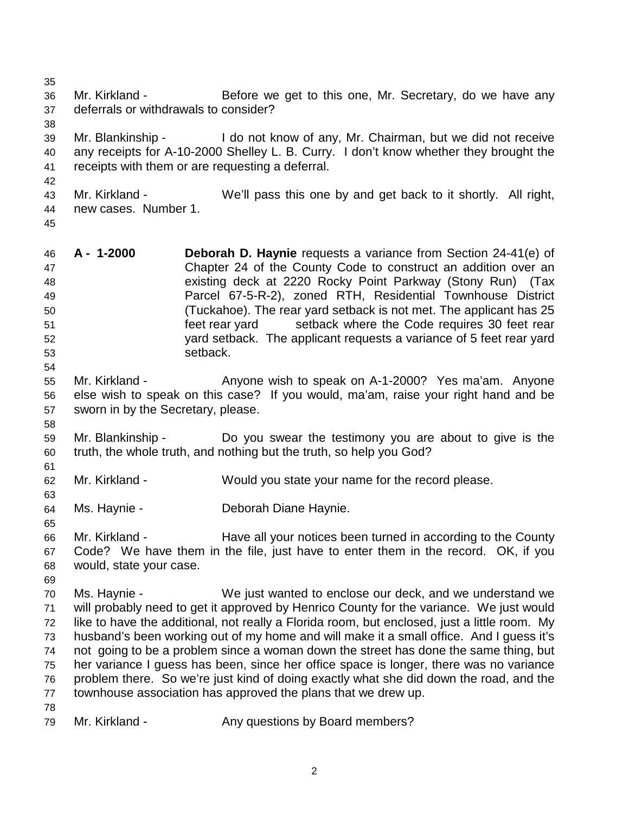35

38

36 Mr. Kirkland - Before we get to this one, Mr. Secretary, do we have any 37 deferrals or withdrawals to consider?

39 Mr. Blankinship - I do not know of any, Mr. Chairman, but we did not receive 40 any receipts for A-10-2000 Shelley L. B. Curry. I don't know whether they brought the 41 receipts with them or are requesting a deferral.

43 Mr. Kirkland - We'll pass this one by and get back to it shortly. All right, 44 new cases. Number 1.

45

54

58

61

63

65

42

46 **A - 1-2000 Deborah D. Haynie** requests a variance from Section 24-41(e) of 47 Chapter 24 of the County Code to construct an addition over an 48 existing deck at 2220 Rocky Point Parkway (Stony Run) (Tax 49 Parcel 67-5-R-2), zoned RTH, Residential Townhouse District 50 (Tuckahoe). The rear yard setback is not met. The applicant has 25 51 feet rear yard setback where the Code requires 30 feet rear 52 yard setback. The applicant requests a variance of 5 feet rear yard 53 setback.

55 Mr. Kirkland - Anyone wish to speak on A-1-2000? Yes ma'am. Anyone 56 else wish to speak on this case? If you would, ma'am, raise your right hand and be 57 sworn in by the Secretary, please.

59 Mr. Blankinship - Do you swear the testimony you are about to give is the 60 truth, the whole truth, and nothing but the truth, so help you God?

- 62 Mr. Kirkland Would you state your name for the record please.
- 64 Ms. Haynie Deborah Diane Haynie.

66 Mr. Kirkland - Have all your notices been turned in according to the County 67 Code? We have them in the file, just have to enter them in the record. OK, if you 68 would, state your case.

69

70 Ms. Haynie - We just wanted to enclose our deck, and we understand we 71 will probably need to get it approved by Henrico County for the variance. We just would 72 like to have the additional, not really a Florida room, but enclosed, just a little room. My 73 husband's been working out of my home and will make it a small office. And I guess it's 74 not going to be a problem since a woman down the street has done the same thing, but 75 her variance I guess has been, since her office space is longer, there was no variance 76 problem there. So we're just kind of doing exactly what she did down the road, and the 77 townhouse association has approved the plans that we drew up. 78

79 Mr. Kirkland - Any questions by Board members?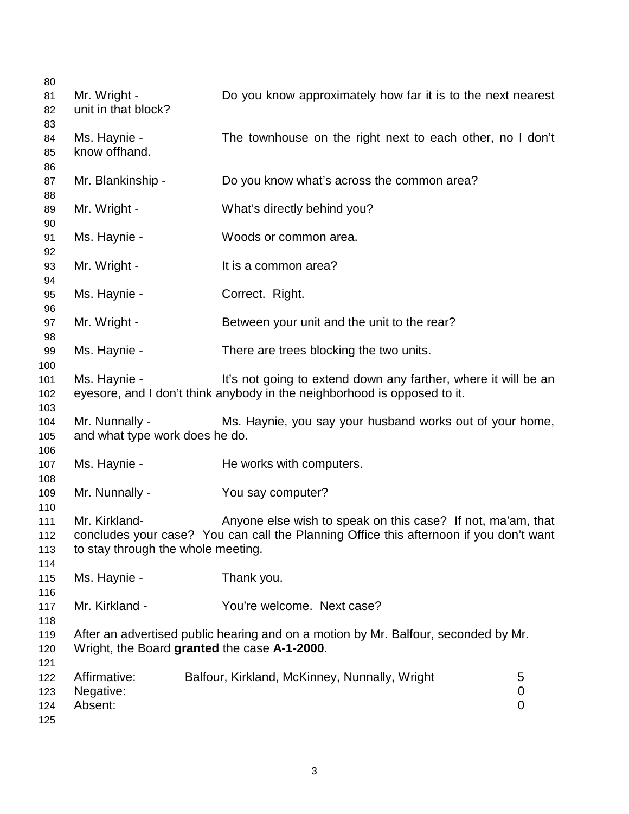| 80         |                                              |                                                                                        |                |
|------------|----------------------------------------------|----------------------------------------------------------------------------------------|----------------|
| 81         | Mr. Wright -                                 | Do you know approximately how far it is to the next nearest                            |                |
| 82         | unit in that block?                          |                                                                                        |                |
| 83         |                                              |                                                                                        |                |
| 84         | Ms. Haynie -                                 | The townhouse on the right next to each other, no I don't                              |                |
| 85<br>86   | know offhand.                                |                                                                                        |                |
| 87         | Mr. Blankinship -                            | Do you know what's across the common area?                                             |                |
| 88         |                                              |                                                                                        |                |
| 89         | Mr. Wright -                                 | What's directly behind you?                                                            |                |
| 90         |                                              |                                                                                        |                |
| 91         | Ms. Haynie -                                 | Woods or common area.                                                                  |                |
| 92         |                                              |                                                                                        |                |
| 93         | Mr. Wright -                                 | It is a common area?                                                                   |                |
| 94         |                                              |                                                                                        |                |
| 95         | Ms. Haynie -                                 | Correct. Right.                                                                        |                |
| 96         | Mr. Wright -                                 | Between your unit and the unit to the rear?                                            |                |
| 97<br>98   |                                              |                                                                                        |                |
| 99         | Ms. Haynie -                                 | There are trees blocking the two units.                                                |                |
| 100        |                                              |                                                                                        |                |
| 101        | Ms. Haynie -                                 | It's not going to extend down any farther, where it will be an                         |                |
| 102        |                                              | eyesore, and I don't think anybody in the neighborhood is opposed to it.               |                |
| 103        |                                              |                                                                                        |                |
| 104        | Mr. Nunnally -                               | Ms. Haynie, you say your husband works out of your home,                               |                |
| 105        | and what type work does he do.               |                                                                                        |                |
| 106        |                                              |                                                                                        |                |
| 107        | Ms. Haynie -                                 | He works with computers.                                                               |                |
| 108<br>109 | Mr. Nunnally -                               | You say computer?                                                                      |                |
| 110        |                                              |                                                                                        |                |
| 111        | Mr. Kirkland-                                | Anyone else wish to speak on this case? If not, ma'am, that                            |                |
| 112        |                                              | concludes your case? You can call the Planning Office this afternoon if you don't want |                |
| 113        | to stay through the whole meeting.           |                                                                                        |                |
| 114        |                                              |                                                                                        |                |
| 115        | Ms. Haynie -                                 | Thank you.                                                                             |                |
| 116        |                                              |                                                                                        |                |
| 117        | Mr. Kirkland -                               | You're welcome. Next case?                                                             |                |
| 118        |                                              |                                                                                        |                |
| 119        | Wright, the Board granted the case A-1-2000. | After an advertised public hearing and on a motion by Mr. Balfour, seconded by Mr.     |                |
| 120<br>121 |                                              |                                                                                        |                |
| 122        | Affirmative:                                 | Balfour, Kirkland, McKinney, Nunnally, Wright                                          | 5              |
| 123        | Negative:                                    |                                                                                        | 0              |
| 124        | Absent:                                      |                                                                                        | $\overline{0}$ |
| 125        |                                              |                                                                                        |                |
|            |                                              |                                                                                        |                |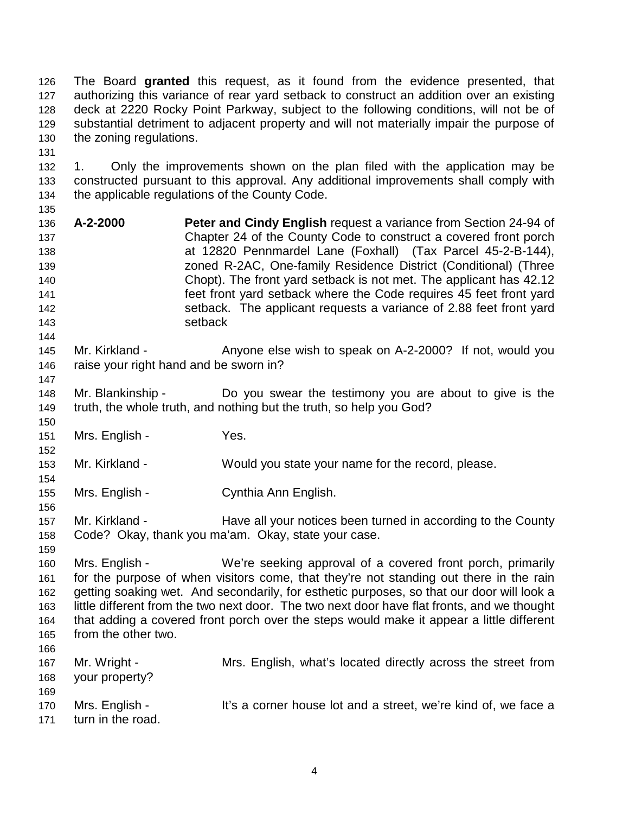126 The Board **granted** this request, as it found from the evidence presented, that 127 authorizing this variance of rear yard setback to construct an addition over an existing 128 deck at 2220 Rocky Point Parkway, subject to the following conditions, will not be of 129 substantial detriment to adjacent property and will not materially impair the purpose of 130 the zoning regulations.

132 1. Only the improvements shown on the plan filed with the application may be 133 constructed pursuant to this approval. Any additional improvements shall comply with 134 the applicable regulations of the County Code.

135

147

152

154

156

159

131

- 136 **A-2-2000 Peter and Cindy English** request a variance from Section 24-94 of 137 Chapter 24 of the County Code to construct a covered front porch 138 at 12820 Pennmardel Lane (Foxhall) (Tax Parcel 45-2-B-144), 139 zoned R-2AC, One-family Residence District (Conditional) (Three 140 Chopt). The front yard setback is not met. The applicant has 42.12 141 feet front yard setback where the Code requires 45 feet front yard 142 setback. The applicant requests a variance of 2.88 feet front yard 143 setback
- 144 145 Mr. Kirkland - Anyone else wish to speak on A-2-2000? If not, would you 146 raise your right hand and be sworn in?
- 148 Mr. Blankinship Do you swear the testimony you are about to give is the 149 truth, the whole truth, and nothing but the truth, so help you God?
- 150 151 Mrs. English - Yes.
- 153 Mr. Kirkland Would you state your name for the record, please.
- 155 Mrs. English Cynthia Ann English.
- 157 Mr. Kirkland Have all your notices been turned in according to the County 158 Code? Okay, thank you ma'am. Okay, state your case.
- 160 Mrs. English We're seeking approval of a covered front porch, primarily 161 for the purpose of when visitors come, that they're not standing out there in the rain 162 getting soaking wet. And secondarily, for esthetic purposes, so that our door will look a 163 little different from the two next door. The two next door have flat fronts, and we thought 164 that adding a covered front porch over the steps would make it appear a little different 165 from the other two. 166
- 167 Mr. Wright Mrs. English, what's located directly across the street from 168 your property? 169 170 Mrs. English - It's a corner house lot and a street, we're kind of, we face a 171 turn in the road.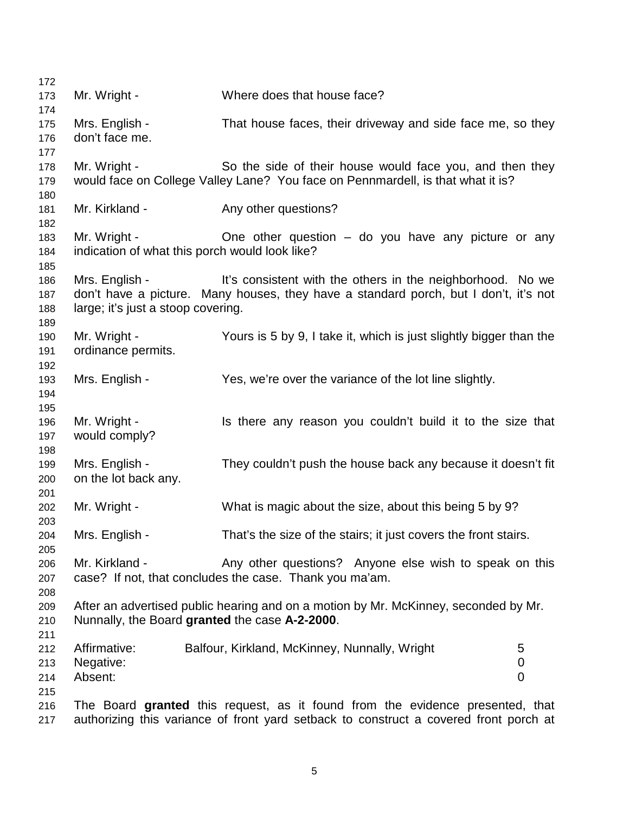| 172 |                                                                              |                                                                                       |             |  |  |  |
|-----|------------------------------------------------------------------------------|---------------------------------------------------------------------------------------|-------------|--|--|--|
| 173 | Mr. Wright -                                                                 | Where does that house face?                                                           |             |  |  |  |
| 174 |                                                                              |                                                                                       |             |  |  |  |
| 175 | Mrs. English -<br>That house faces, their driveway and side face me, so they |                                                                                       |             |  |  |  |
| 176 | don't face me.                                                               |                                                                                       |             |  |  |  |
| 177 |                                                                              |                                                                                       |             |  |  |  |
| 178 | Mr. Wright -                                                                 | So the side of their house would face you, and then they                              |             |  |  |  |
| 179 |                                                                              | would face on College Valley Lane? You face on Pennmardell, is that what it is?       |             |  |  |  |
| 180 |                                                                              |                                                                                       |             |  |  |  |
| 181 | Mr. Kirkland -                                                               | Any other questions?                                                                  |             |  |  |  |
| 182 |                                                                              |                                                                                       |             |  |  |  |
| 183 | Mr. Wright -                                                                 | One other question $-$ do you have any picture or any                                 |             |  |  |  |
| 184 | indication of what this porch would look like?                               |                                                                                       |             |  |  |  |
| 185 |                                                                              |                                                                                       |             |  |  |  |
| 186 | Mrs. English -                                                               | It's consistent with the others in the neighborhood. No we                            |             |  |  |  |
| 187 |                                                                              | don't have a picture. Many houses, they have a standard porch, but I don't, it's not  |             |  |  |  |
| 188 | large; it's just a stoop covering.                                           |                                                                                       |             |  |  |  |
| 189 |                                                                              |                                                                                       |             |  |  |  |
| 190 | Mr. Wright -                                                                 | Yours is 5 by 9, I take it, which is just slightly bigger than the                    |             |  |  |  |
| 191 | ordinance permits.                                                           |                                                                                       |             |  |  |  |
| 192 |                                                                              |                                                                                       |             |  |  |  |
| 193 | Mrs. English -                                                               | Yes, we're over the variance of the lot line slightly.                                |             |  |  |  |
| 194 |                                                                              |                                                                                       |             |  |  |  |
| 195 |                                                                              |                                                                                       |             |  |  |  |
| 196 | Mr. Wright -                                                                 | Is there any reason you couldn't build it to the size that                            |             |  |  |  |
|     |                                                                              |                                                                                       |             |  |  |  |
| 197 | would comply?                                                                |                                                                                       |             |  |  |  |
| 198 |                                                                              |                                                                                       |             |  |  |  |
| 199 | Mrs. English -                                                               | They couldn't push the house back any because it doesn't fit                          |             |  |  |  |
| 200 | on the lot back any.                                                         |                                                                                       |             |  |  |  |
| 201 |                                                                              |                                                                                       |             |  |  |  |
| 202 | Mr. Wright -                                                                 | What is magic about the size, about this being 5 by 9?                                |             |  |  |  |
| 203 |                                                                              |                                                                                       |             |  |  |  |
| 204 | Mrs. English -                                                               | That's the size of the stairs; it just covers the front stairs.                       |             |  |  |  |
| 205 |                                                                              |                                                                                       |             |  |  |  |
| 206 | Mr. Kirkland -                                                               | Any other questions? Anyone else wish to speak on this                                |             |  |  |  |
| 207 |                                                                              | case? If not, that concludes the case. Thank you ma'am.                               |             |  |  |  |
| 208 |                                                                              |                                                                                       |             |  |  |  |
| 209 |                                                                              | After an advertised public hearing and on a motion by Mr. McKinney, seconded by Mr.   |             |  |  |  |
| 210 | Nunnally, the Board granted the case A-2-2000.                               |                                                                                       |             |  |  |  |
| 211 |                                                                              |                                                                                       |             |  |  |  |
| 212 | Affirmative:                                                                 | Balfour, Kirkland, McKinney, Nunnally, Wright                                         | 5           |  |  |  |
| 213 | Negative:                                                                    |                                                                                       | $\mathbf 0$ |  |  |  |
| 214 | Absent:                                                                      |                                                                                       | 0           |  |  |  |
| 215 |                                                                              |                                                                                       |             |  |  |  |
| 216 |                                                                              | The Board granted this request, as it found from the evidence presented, that         |             |  |  |  |
| 217 |                                                                              | authorizing this variance of front yard setback to construct a covered front porch at |             |  |  |  |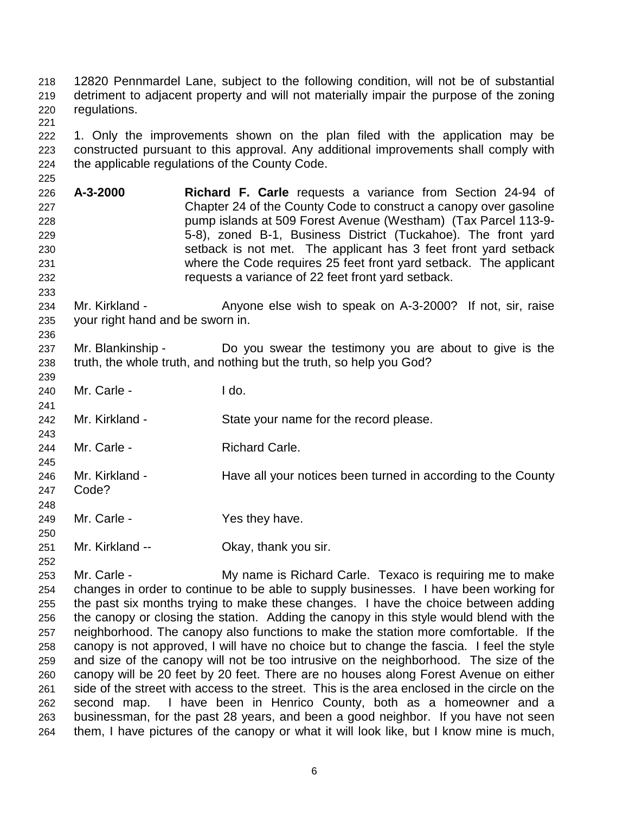218 12820 Pennmardel Lane, subject to the following condition, will not be of substantial 219 detriment to adjacent property and will not materially impair the purpose of the zoning 220 regulations. 221

222 1. Only the improvements shown on the plan filed with the application may be 223 constructed pursuant to this approval. Any additional improvements shall comply with 224 the applicable regulations of the County Code.

- 226 **A-3-2000 Richard F. Carle** requests a variance from Section 24-94 of 227 Chapter 24 of the County Code to construct a canopy over gasoline 228 pump islands at 509 Forest Avenue (Westham) (Tax Parcel 113-9- 229 5-8), zoned B-1, Business District (Tuckahoe). The front yard 230 setback is not met. The applicant has 3 feet front yard setback 231 where the Code requires 25 feet front yard setback. The applicant 232 requests a variance of 22 feet front yard setback.
- 234 Mr. Kirkland Anyone else wish to speak on A-3-2000? If not, sir, raise 235 your right hand and be sworn in.
- 237 Mr. Blankinship Do you swear the testimony you are about to give is the 238 truth, the whole truth, and nothing but the truth, so help you God?
- 240 Mr. Carle I do.
- 242 Mr. Kirkland State your name for the record please.
- 244 Mr. Carle Richard Carle.
- 245 246 Mr. Kirkland - Have all your notices been turned in according to the County 247 Code? 248
- 249 Mr. Carle Yes they have.
- 251 Mr. Kirkland -- Okay, thank you sir.
- 252

250

225

233

236

239

241

243

253 Mr. Carle - My name is Richard Carle. Texaco is requiring me to make 254 changes in order to continue to be able to supply businesses. I have been working for 255 the past six months trying to make these changes. I have the choice between adding 256 the canopy or closing the station. Adding the canopy in this style would blend with the 257 neighborhood. The canopy also functions to make the station more comfortable. If the 258 canopy is not approved, I will have no choice but to change the fascia. I feel the style 259 and size of the canopy will not be too intrusive on the neighborhood. The size of the 260 canopy will be 20 feet by 20 feet. There are no houses along Forest Avenue on either 261 side of the street with access to the street. This is the area enclosed in the circle on the 262 second map. I have been in Henrico County, both as a homeowner and a 263 businessman, for the past 28 years, and been a good neighbor. If you have not seen 264 them, I have pictures of the canopy or what it will look like, but I know mine is much,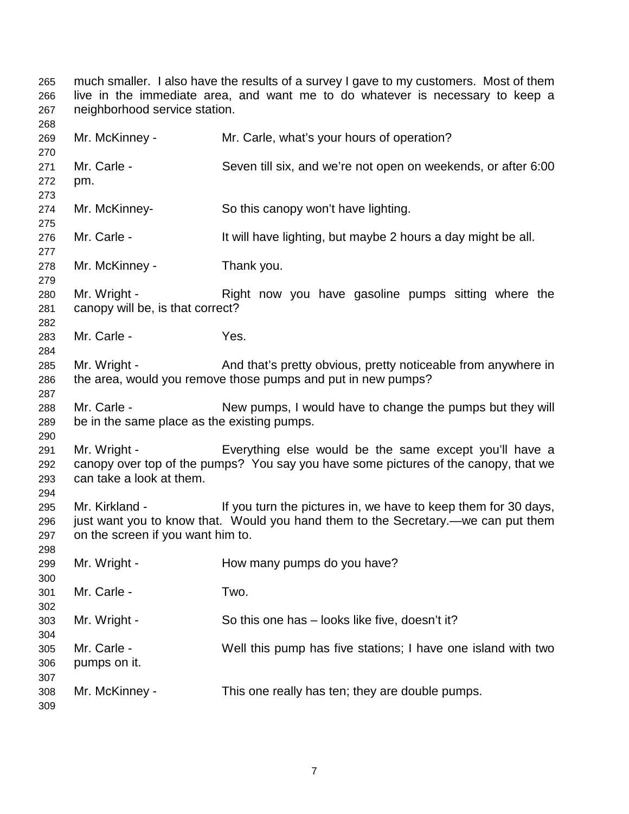265 much smaller. I also have the results of a survey I gave to my customers. Most of them 266 live in the immediate area, and want me to do whatever is necessary to keep a 267 neighborhood service station.

268 269 Mr. McKinney - Mr. Carle, what's your hours of operation? 270 271 Mr. Carle - Seven till six, and we're not open on weekends, or after 6:00 272 pm. 273 274 Mr. McKinney- So this canopy won't have lighting. 275 276 Mr. Carle - It will have lighting, but maybe 2 hours a day might be all. 277 278 Mr. McKinney - Thank you. 279 280 Mr. Wright - Right now you have gasoline pumps sitting where the 281 canopy will be, is that correct? 282 283 Mr. Carle - Yes. 284 285 Mr. Wright - And that's pretty obvious, pretty noticeable from anywhere in 286 the area, would you remove those pumps and put in new pumps? 287 288 Mr. Carle - New pumps, I would have to change the pumps but they will 289 be in the same place as the existing pumps. 290 291 Mr. Wright - Everything else would be the same except you'll have a 292 canopy over top of the pumps? You say you have some pictures of the canopy, that we 293 can take a look at them. 294 295 Mr. Kirkland - If you turn the pictures in, we have to keep them for 30 days, 296 just want you to know that. Would you hand them to the Secretary.—we can put them 297 on the screen if you want him to. 298 299 Mr. Wright - How many pumps do you have? 300 301 Mr. Carle - Two. 302 303 Mr. Wright - So this one has – looks like five, doesn't it? 304 305 Mr. Carle - Well this pump has five stations; I have one island with two 306 pumps on it. 307 308 Mr. McKinney - This one really has ten; they are double pumps. 309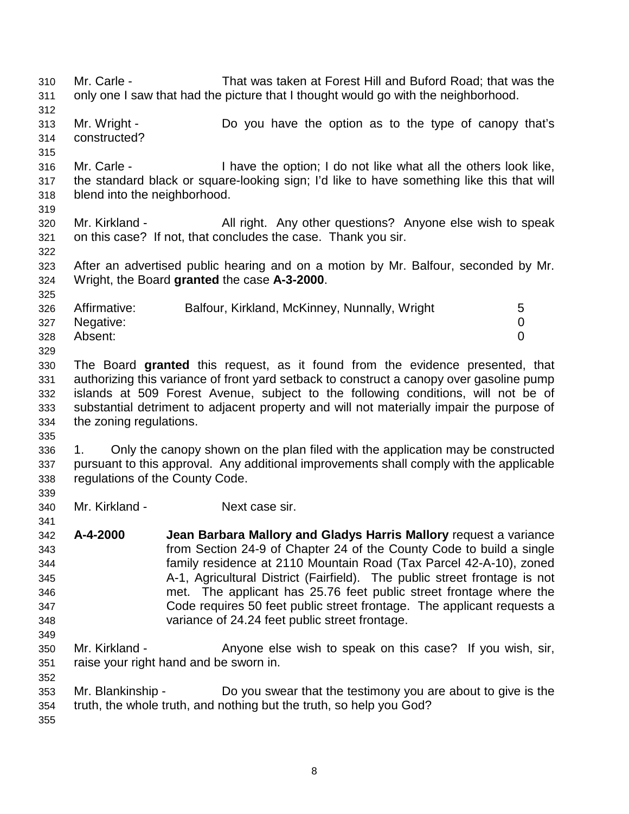310 Mr. Carle - That was taken at Forest Hill and Buford Road; that was the 311 only one I saw that had the picture that I thought would go with the neighborhood. 312 313 Mr. Wright - Do you have the option as to the type of canopy that's 314 constructed? 315 316 Mr. Carle - I have the option; I do not like what all the others look like, 317 the standard black or square-looking sign; I'd like to have something like this that will 318 blend into the neighborhood. 319 320 Mr. Kirkland - All right. Any other questions? Anyone else wish to speak 321 on this case? If not, that concludes the case. Thank you sir. 322 323 After an advertised public hearing and on a motion by Mr. Balfour, seconded by Mr. 324 Wright, the Board **granted** the case **A-3-2000**. 325 326 Affirmative: Balfour, Kirkland, McKinney, Nunnally, Wright 5 327 Negative: 0 328 Absent: 0 329 330 The Board **granted** this request, as it found from the evidence presented, that 331 authorizing this variance of front yard setback to construct a canopy over gasoline pump 332 islands at 509 Forest Avenue, subject to the following conditions, will not be of 333 substantial detriment to adjacent property and will not materially impair the purpose of 334 the zoning regulations. 335 336 1. Only the canopy shown on the plan filed with the application may be constructed 337 pursuant to this approval. Any additional improvements shall comply with the applicable 338 regulations of the County Code. 339 340 Mr. Kirkland - Next case sir. 341 342 **A-4-2000 Jean Barbara Mallory and Gladys Harris Mallory** request a variance 343 from Section 24-9 of Chapter 24 of the County Code to build a single 344 family residence at 2110 Mountain Road (Tax Parcel 42-A-10), zoned 345 A-1, Agricultural District (Fairfield). The public street frontage is not 346 met. The applicant has 25.76 feet public street frontage where the 347 Code requires 50 feet public street frontage. The applicant requests a 348 variance of 24.24 feet public street frontage. 349 350 Mr. Kirkland - Anyone else wish to speak on this case? If you wish, sir, 351 raise your right hand and be sworn in. 352 353 Mr. Blankinship - Do you swear that the testimony you are about to give is the 354 truth, the whole truth, and nothing but the truth, so help you God? 355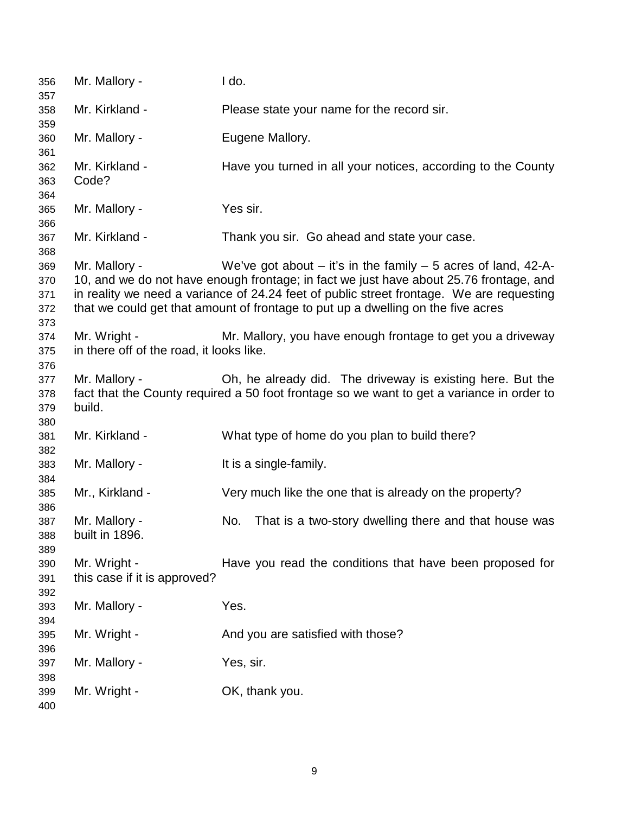356 Mr. Mallory - I do. 357 358 Mr. Kirkland - Please state your name for the record sir. 359 360 Mr. Mallory - Eugene Mallory. 361 362 Mr. Kirkland - Have you turned in all your notices, according to the County 363 Code? 364 365 Mr. Mallory - Yes sir. 366 367 Mr. Kirkland - Thank you sir. Go ahead and state your case. 368 369 Mr. Mallory - We've got about – it's in the family – 5 acres of land, 42-A-370 10, and we do not have enough frontage; in fact we just have about 25.76 frontage, and 371 in reality we need a variance of 24.24 feet of public street frontage. We are requesting 372 that we could get that amount of frontage to put up a dwelling on the five acres 373 374 Mr. Wright - Mr. Mallory, you have enough frontage to get you a driveway 375 in there off of the road, it looks like. 376 377 Mr. Mallory - Oh, he already did. The driveway is existing here. But the 378 fact that the County required a 50 foot frontage so we want to get a variance in order to 379 build. 380 381 Mr. Kirkland - What type of home do you plan to build there? 382 383 Mr. Mallory - It is a single-family. 384 385 Mr., Kirkland - Very much like the one that is already on the property? 386 387 Mr. Mallory - No. That is a two-story dwelling there and that house was 388 built in 1896. 389 390 Mr. Wright - Have you read the conditions that have been proposed for 391 this case if it is approved? 392 393 Mr. Mallory - Yes. 394 395 Mr. Wright - And you are satisfied with those? 396 397 Mr. Mallory - Yes, sir. 398 399 Mr. Wright - OK, thank you. 400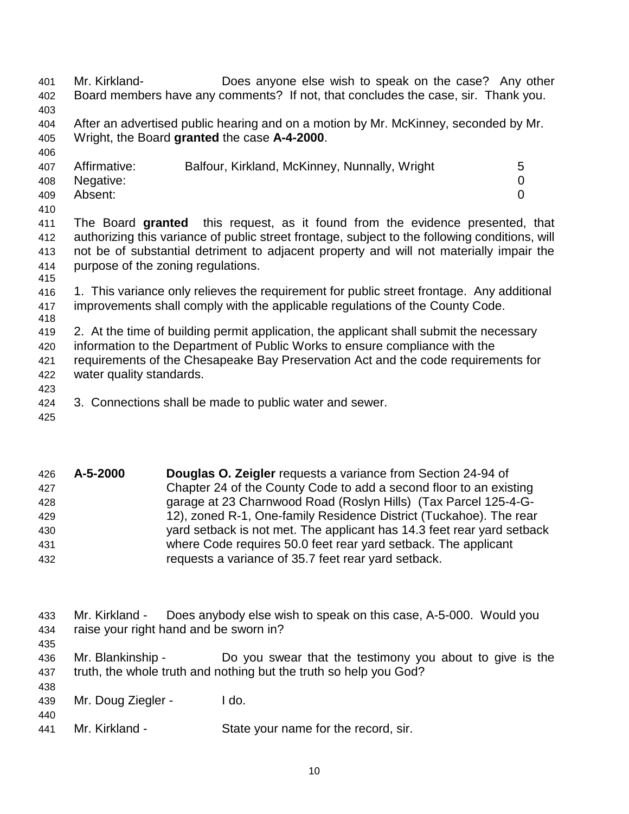401 Mr. Kirkland- Does anyone else wish to speak on the case? Any other 402 Board members have any comments? If not, that concludes the case, sir. Thank you. 403 404 After an advertised public hearing and on a motion by Mr. McKinney, seconded by Mr. 405 Wright, the Board **granted** the case **A-4-2000**. 406 407 Affirmative: Balfour, Kirkland, McKinney, Nunnally, Wright 5 408 Negative: 0 409 Absent: 0 410 411 The Board **granted** this request, as it found from the evidence presented, that 412 authorizing this variance of public street frontage, subject to the following conditions, will 413 not be of substantial detriment to adjacent property and will not materially impair the 414 purpose of the zoning regulations. 415 416 1. This variance only relieves the requirement for public street frontage. Any additional 417 improvements shall comply with the applicable regulations of the County Code. 418 419 2. At the time of building permit application, the applicant shall submit the necessary 420 information to the Department of Public Works to ensure compliance with the 421 requirements of the Chesapeake Bay Preservation Act and the code requirements for 422 water quality standards. 423 424 3. Connections shall be made to public water and sewer.

425

435

| 426 | A-5-2000 | <b>Douglas O. Zeigler requests a variance from Section 24-94 of</b>    |
|-----|----------|------------------------------------------------------------------------|
| 427 |          | Chapter 24 of the County Code to add a second floor to an existing     |
| 428 |          | garage at 23 Charnwood Road (Roslyn Hills) (Tax Parcel 125-4-G-        |
| 429 |          | 12), zoned R-1, One-family Residence District (Tuckahoe). The rear     |
| 430 |          | yard setback is not met. The applicant has 14.3 feet rear yard setback |
| 431 |          | where Code requires 50.0 feet rear yard setback. The applicant         |
| 432 |          | requests a variance of 35.7 feet rear yard setback.                    |

- 433 Mr. Kirkland Does anybody else wish to speak on this case, A-5-000. Would you 434 raise your right hand and be sworn in?
- 436 Mr. Blankinship Do you swear that the testimony you about to give is the 437 truth, the whole truth and nothing but the truth so help you God?
- 438 439 Mr. Doug Ziegler - I do.
- 440 441 Mr. Kirkland - State your name for the record, sir.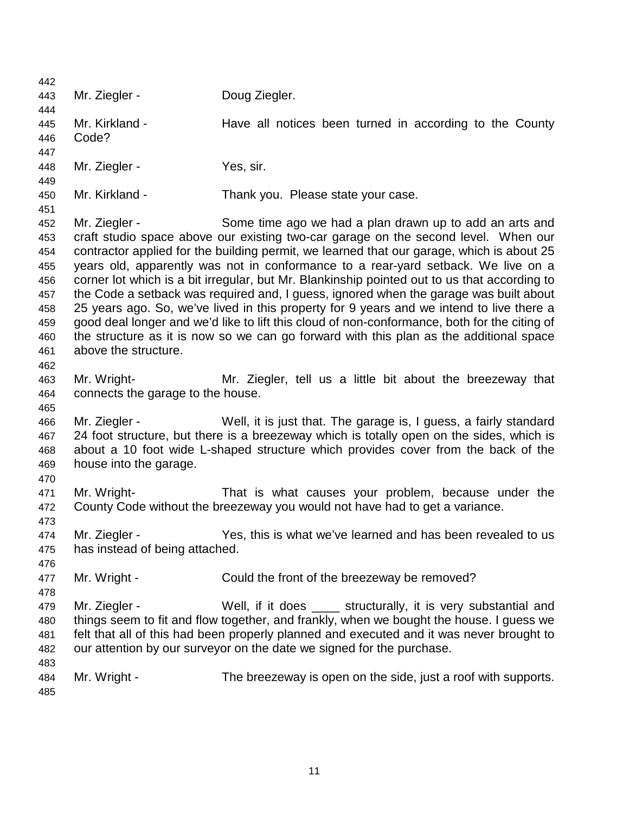442 443 Mr. Ziegler - Doug Ziegler. 444 445 Mr. Kirkland - Have all notices been turned in according to the County 446 Code? 447 448 Mr. Ziegler - Yes, sir. 449 450 Mr. Kirkland - Thank you. Please state your case. 451 452 Mr. Ziegler - Some time ago we had a plan drawn up to add an arts and 453 craft studio space above our existing two-car garage on the second level. When our 454 contractor applied for the building permit, we learned that our garage, which is about 25 455 years old, apparently was not in conformance to a rear-yard setback. We live on a 456 corner lot which is a bit irregular, but Mr. Blankinship pointed out to us that according to 457 the Code a setback was required and, I guess, ignored when the garage was built about 458 25 years ago. So, we've lived in this property for 9 years and we intend to live there a 459 good deal longer and we'd like to lift this cloud of non-conformance, both for the citing of 460 the structure as it is now so we can go forward with this plan as the additional space 461 above the structure. 462 463 Mr. Wright- Mr. Ziegler, tell us a little bit about the breezeway that 464 connects the garage to the house. 465 466 Mr. Ziegler - Well, it is just that. The garage is, I guess, a fairly standard 467 24 foot structure, but there is a breezeway which is totally open on the sides, which is 468 about a 10 foot wide L-shaped structure which provides cover from the back of the 469 house into the garage. 470 471 Mr. Wright- That is what causes your problem, because under the 472 County Code without the breezeway you would not have had to get a variance. 473 474 Mr. Ziegler - Yes, this is what we've learned and has been revealed to us 475 has instead of being attached. 476 477 Mr. Wright - Could the front of the breezeway be removed? 478 479 Mr. Ziegler - Well, if it does \_\_\_\_ structurally, it is very substantial and 480 things seem to fit and flow together, and frankly, when we bought the house. I guess we 481 felt that all of this had been properly planned and executed and it was never brought to 482 our attention by our surveyor on the date we signed for the purchase. 483 484 Mr. Wright - The breezeway is open on the side, just a roof with supports. 485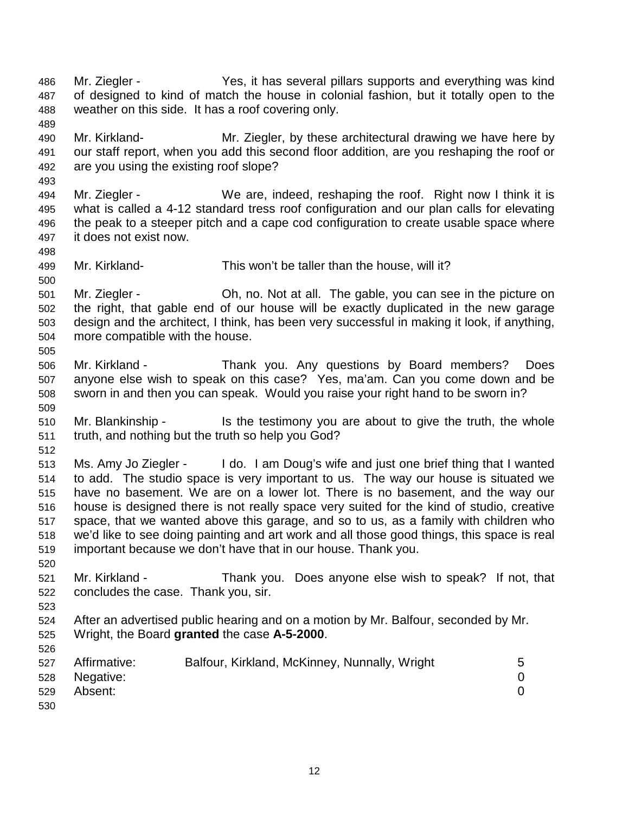- 486 Mr. Ziegler Yes, it has several pillars supports and everything was kind 487 of designed to kind of match the house in colonial fashion, but it totally open to the 488 weather on this side. It has a roof covering only.
- 489 490 Mr. Kirkland- Mr. Ziegler, by these architectural drawing we have here by 491 our staff report, when you add this second floor addition, are you reshaping the roof or 492 are you using the existing roof slope?
- 493 494 Mr. Ziegler - We are, indeed, reshaping the roof. Right now I think it is 495 what is called a 4-12 standard tress roof configuration and our plan calls for elevating 496 the peak to a steeper pitch and a cape cod configuration to create usable space where 497 it does not exist now.
- 499 Mr. Kirkland- This won't be taller than the house, will it?
- 501 Mr. Ziegler Oh, no. Not at all. The gable, you can see in the picture on 502 the right, that gable end of our house will be exactly duplicated in the new garage 503 design and the architect, I think, has been very successful in making it look, if anything, 504 more compatible with the house. 505
- 506 Mr. Kirkland Thank you. Any questions by Board members? Does 507 anyone else wish to speak on this case? Yes, ma'am. Can you come down and be 508 sworn in and then you can speak. Would you raise your right hand to be sworn in? 509
- 510 Mr. Blankinship Is the testimony you are about to give the truth, the whole 511 truth, and nothing but the truth so help you God?
- 512

498

500

- 513 Ms. Amy Jo Ziegler I do. I am Doug's wife and just one brief thing that I wanted 514 to add. The studio space is very important to us. The way our house is situated we 515 have no basement. We are on a lower lot. There is no basement, and the way our 516 house is designed there is not really space very suited for the kind of studio, creative 517 space, that we wanted above this garage, and so to us, as a family with children who 518 we'd like to see doing painting and art work and all those good things, this space is real 519 important because we don't have that in our house. Thank you.
- 521 Mr. Kirkland Thank you. Does anyone else wish to speak? If not, that 522 concludes the case. Thank you, sir.
- 523

526

520

524 After an advertised public hearing and on a motion by Mr. Balfour, seconded by Mr. 525 Wright, the Board **granted** the case **A-5-2000**.

| 527 | Affirmative: | Balfour, Kirkland, McKinney, Nunnally, Wright | 5 |
|-----|--------------|-----------------------------------------------|---|
| 528 | Negative:    |                                               |   |
| 529 | Absent:      |                                               |   |
| 530 |              |                                               |   |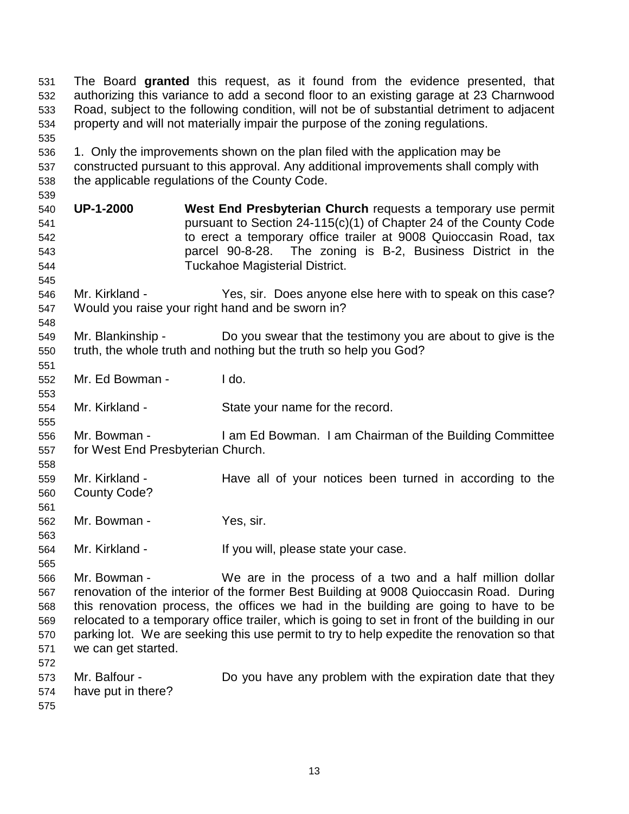531 The Board **granted** this request, as it found from the evidence presented, that 532 authorizing this variance to add a second floor to an existing garage at 23 Charnwood 533 Road, subject to the following condition, will not be of substantial detriment to adjacent 534 property and will not materially impair the purpose of the zoning regulations. 535 536 1. Only the improvements shown on the plan filed with the application may be 537 constructed pursuant to this approval. Any additional improvements shall comply with 538 the applicable regulations of the County Code. 539 540 **UP-1-2000 West End Presbyterian Church** requests a temporary use permit 541 pursuant to Section 24-115(c)(1) of Chapter 24 of the County Code 542 to erect a temporary office trailer at 9008 Quioccasin Road, tax 543 parcel 90-8-28. The zoning is B-2, Business District in the 544 Tuckahoe Magisterial District. 545 546 Mr. Kirkland - Yes, sir. Does anyone else here with to speak on this case? 547 Would you raise your right hand and be sworn in? 548 549 Mr. Blankinship - Do you swear that the testimony you are about to give is the 550 truth, the whole truth and nothing but the truth so help you God? 551 552 Mr. Ed Bowman - I do. 553 554 Mr. Kirkland - State your name for the record. 555 556 Mr. Bowman - I am Ed Bowman. I am Chairman of the Building Committee 557 for West End Presbyterian Church. 558 559 Mr. Kirkland - Have all of your notices been turned in according to the 560 County Code? 561 562 Mr. Bowman - Yes, sir. 563 564 Mr. Kirkland - If you will, please state your case. 565 566 Mr. Bowman - We are in the process of a two and a half million dollar 567 renovation of the interior of the former Best Building at 9008 Quioccasin Road. During 568 this renovation process, the offices we had in the building are going to have to be 569 relocated to a temporary office trailer, which is going to set in front of the building in our 570 parking lot. We are seeking this use permit to try to help expedite the renovation so that 571 we can get started. 572 573 Mr. Balfour - Do you have any problem with the expiration date that they 574 have put in there? 575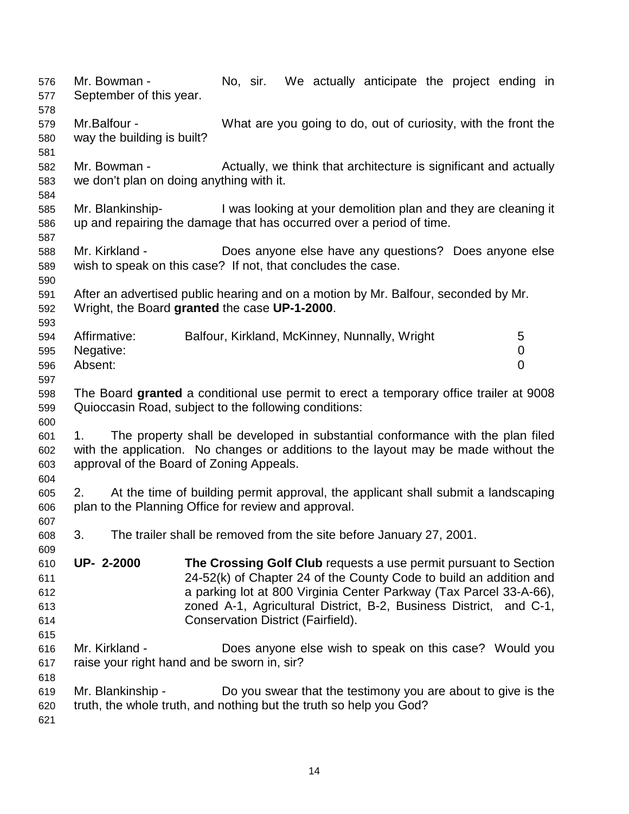576 Mr. Bowman - No, sir. We actually anticipate the project ending in 577 September of this year. 578 579 Mr.Balfour - What are you going to do, out of curiosity, with the front the 580 way the building is built? 581 582 Mr. Bowman - Actually, we think that architecture is significant and actually 583 we don't plan on doing anything with it. 584 585 Mr. Blankinship- I was looking at your demolition plan and they are cleaning it 586 up and repairing the damage that has occurred over a period of time. 587 588 Mr. Kirkland - Does anyone else have any questions? Does anyone else 589 wish to speak on this case? If not, that concludes the case. 590 591 After an advertised public hearing and on a motion by Mr. Balfour, seconded by Mr. 592 Wright, the Board **granted** the case **UP-1-2000**. 593 594 Affirmative: Balfour, Kirkland, McKinney, Nunnally, Wright 5 595 Negative: 0 596 Absent: 0 597 598 The Board **granted** a conditional use permit to erect a temporary office trailer at 9008 599 Quioccasin Road, subject to the following conditions: 600 601 1. The property shall be developed in substantial conformance with the plan filed 602 with the application. No changes or additions to the layout may be made without the 603 approval of the Board of Zoning Appeals. 604 605 2. At the time of building permit approval, the applicant shall submit a landscaping 606 plan to the Planning Office for review and approval. 607 608 3. The trailer shall be removed from the site before January 27, 2001. 609 610 **UP- 2-2000 The Crossing Golf Club** requests a use permit pursuant to Section 611 24-52(k) of Chapter 24 of the County Code to build an addition and 612 a parking lot at 800 Virginia Center Parkway (Tax Parcel 33-A-66), 613 zoned A-1, Agricultural District, B-2, Business District, and C-1, 614 Conservation District (Fairfield). 615 616 Mr. Kirkland - Does anyone else wish to speak on this case? Would you 617 raise your right hand and be sworn in, sir? 618 619 Mr. Blankinship - Do you swear that the testimony you are about to give is the 620 truth, the whole truth, and nothing but the truth so help you God? 621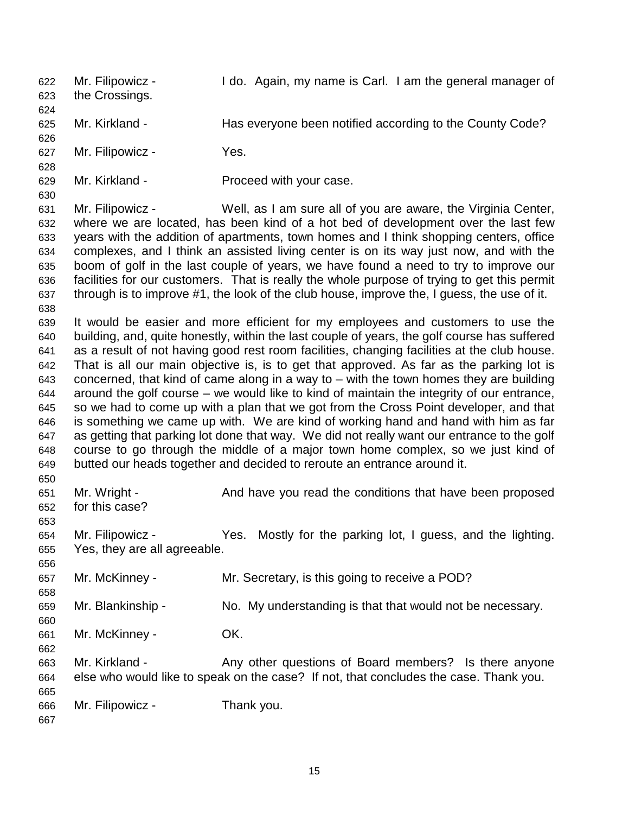622 Mr. Filipowicz - I do. Again, my name is Carl. I am the general manager of 623 the Crossings. 624 625 Mr. Kirkland - Has everyone been notified according to the County Code? 626 627 Mr. Filipowicz - Yes. 628 629 Mr. Kirkland - Proceed with your case. 630 631 Mr. Filipowicz - Well, as I am sure all of you are aware, the Virginia Center, 632 where we are located, has been kind of a hot bed of development over the last few 633 years with the addition of apartments, town homes and I think shopping centers, office 634 complexes, and I think an assisted living center is on its way just now, and with the 635 boom of golf in the last couple of years, we have found a need to try to improve our 636 facilities for our customers. That is really the whole purpose of trying to get this permit 637 through is to improve #1, the look of the club house, improve the, I guess, the use of it. 638 639 It would be easier and more efficient for my employees and customers to use the 640 building, and, quite honestly, within the last couple of years, the golf course has suffered 641 as a result of not having good rest room facilities, changing facilities at the club house. 642 That is all our main objective is, is to get that approved. As far as the parking lot is 643 concerned, that kind of came along in a way to – with the town homes they are building 644 around the golf course – we would like to kind of maintain the integrity of our entrance, 645 so we had to come up with a plan that we got from the Cross Point developer, and that 646 is something we came up with. We are kind of working hand and hand with him as far 647 as getting that parking lot done that way. We did not really want our entrance to the golf 648 course to go through the middle of a major town home complex, so we just kind of 649 butted our heads together and decided to reroute an entrance around it. 650 651 Mr. Wright - And have you read the conditions that have been proposed 652 for this case? 653 654 Mr. Filipowicz - Yes. Mostly for the parking lot, I guess, and the lighting. 655 Yes, they are all agreeable. 656 657 Mr. McKinney - Mr. Secretary, is this going to receive a POD? 658 659 Mr. Blankinship - No. My understanding is that that would not be necessary. 660 661 Mr. McKinney - OK. 662 663 Mr. Kirkland - Any other questions of Board members? Is there anyone 664 else who would like to speak on the case? If not, that concludes the case. Thank you. 665 666 Mr. Filipowicz - Thank you. 667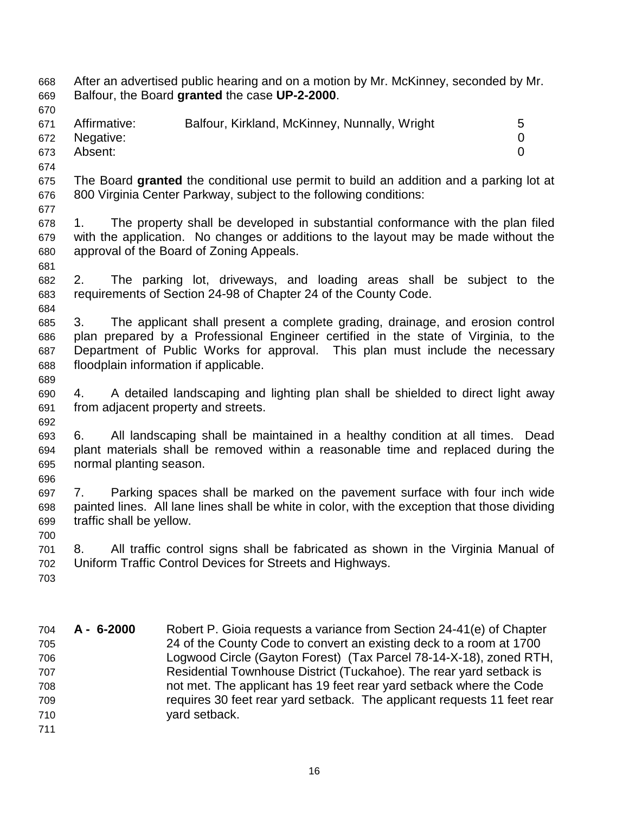668 After an advertised public hearing and on a motion by Mr. McKinney, seconded by Mr. 669 Balfour, the Board **granted** the case **UP-2-2000**. 670 671 Affirmative: Balfour, Kirkland, McKinney, Nunnally, Wright 5 672 Negative: 0 673 Absent: 0 674 675 The Board **granted** the conditional use permit to build an addition and a parking lot at 676 800 Virginia Center Parkway, subject to the following conditions: 677 678 1. The property shall be developed in substantial conformance with the plan filed 679 with the application. No changes or additions to the layout may be made without the 680 approval of the Board of Zoning Appeals. 681 682 2. The parking lot, driveways, and loading areas shall be subject to the 683 requirements of Section 24-98 of Chapter 24 of the County Code. 684 685 3. The applicant shall present a complete grading, drainage, and erosion control 686 plan prepared by a Professional Engineer certified in the state of Virginia, to the 687 Department of Public Works for approval. This plan must include the necessary 688 floodplain information if applicable. 689 690 4. A detailed landscaping and lighting plan shall be shielded to direct light away 691 from adjacent property and streets. 692 693 6. All landscaping shall be maintained in a healthy condition at all times. Dead 694 plant materials shall be removed within a reasonable time and replaced during the 695 normal planting season. 696 697 7. Parking spaces shall be marked on the pavement surface with four inch wide 698 painted lines. All lane lines shall be white in color, with the exception that those dividing 699 traffic shall be yellow. 700 701 8. All traffic control signs shall be fabricated as shown in the Virginia Manual of 702 Uniform Traffic Control Devices for Streets and Highways. 703

704 **A - 6-2000** Robert P. Gioia requests a variance from Section 24-41(e) of Chapter 705 24 of the County Code to convert an existing deck to a room at 1700 706 Logwood Circle (Gayton Forest) (Tax Parcel 78-14-X-18), zoned RTH, 707 Residential Townhouse District (Tuckahoe). The rear yard setback is 708 not met. The applicant has 19 feet rear yard setback where the Code 709 requires 30 feet rear yard setback. The applicant requests 11 feet rear 710 yard setback. 711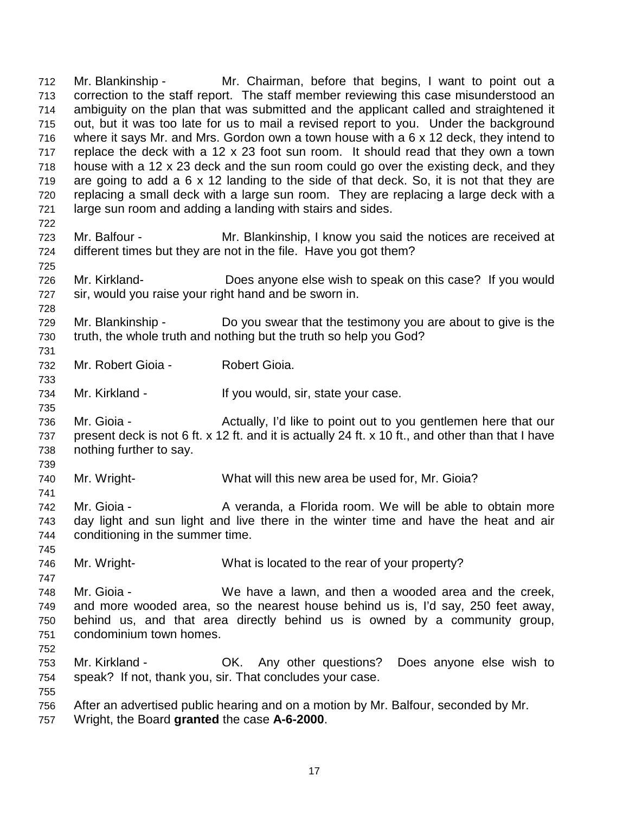712 Mr. Blankinship - Mr. Chairman, before that begins, I want to point out a 713 correction to the staff report. The staff member reviewing this case misunderstood an 714 ambiguity on the plan that was submitted and the applicant called and straightened it 715 out, but it was too late for us to mail a revised report to you. Under the background 716 where it says Mr. and Mrs. Gordon own a town house with a 6 x 12 deck, they intend to 717 replace the deck with a 12 x 23 foot sun room. It should read that they own a town 718 house with a 12 x 23 deck and the sun room could go over the existing deck, and they 719 are going to add a 6 x 12 landing to the side of that deck. So, it is not that they are 720 replacing a small deck with a large sun room. They are replacing a large deck with a 721 large sun room and adding a landing with stairs and sides. 722 723 Mr. Balfour - Mr. Blankinship, I know you said the notices are received at 724 different times but they are not in the file. Have you got them? 725 726 Mr. Kirkland- Does anyone else wish to speak on this case? If you would 727 sir, would you raise your right hand and be sworn in. 728 729 Mr. Blankinship - Do you swear that the testimony you are about to give is the 730 truth, the whole truth and nothing but the truth so help you God? 731 732 Mr. Robert Gioia - Robert Gioia. 733 734 Mr. Kirkland - If you would, sir, state your case. 735 736 Mr. Gioia - Actually, I'd like to point out to you gentlemen here that our 737 present deck is not 6 ft. x 12 ft. and it is actually 24 ft. x 10 ft., and other than that I have 738 nothing further to say. 739 740 Mr. Wright- What will this new area be used for, Mr. Gioia? 741 742 Mr. Gioia - A veranda, a Florida room. We will be able to obtain more 743 day light and sun light and live there in the winter time and have the heat and air 744 conditioning in the summer time. 745 746 Mr. Wright- What is located to the rear of your property? 747 748 Mr. Gioia - We have a lawn, and then a wooded area and the creek, 749 and more wooded area, so the nearest house behind us is, I'd say, 250 feet away, 750 behind us, and that area directly behind us is owned by a community group, 751 condominium town homes. 752 753 Mr. Kirkland - OK. Any other questions? Does anyone else wish to 754 speak? If not, thank you, sir. That concludes your case. 755 756 After an advertised public hearing and on a motion by Mr. Balfour, seconded by Mr.

757 Wright, the Board **granted** the case **A-6-2000**.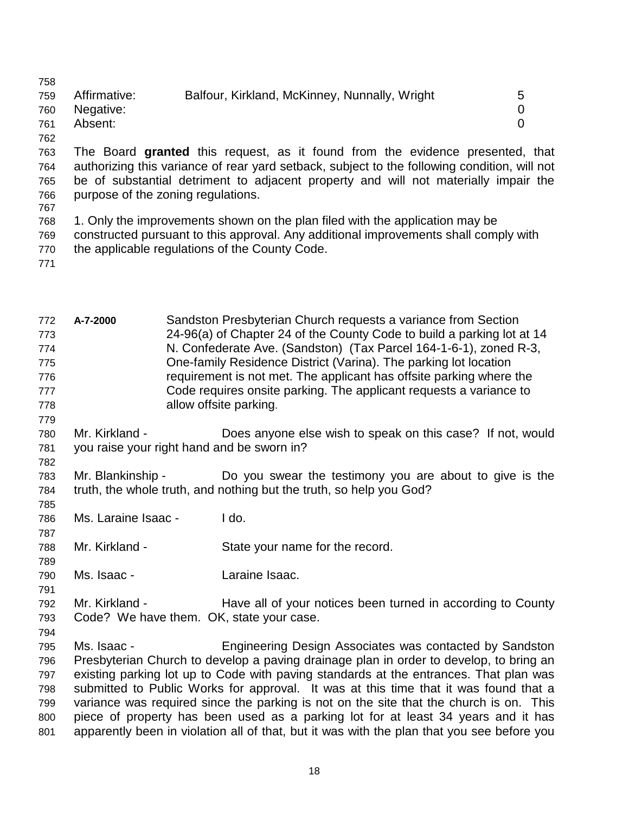758 759 Affirmative: Balfour, Kirkland, McKinney, Nunnally, Wright 5 760 Negative: 0 761 Absent: 0

763 The Board **granted** this request, as it found from the evidence presented, that 764 authorizing this variance of rear yard setback, subject to the following condition, will not 765 be of substantial detriment to adjacent property and will not materially impair the 766 purpose of the zoning regulations.

767

762

768 1. Only the improvements shown on the plan filed with the application may be 769 constructed pursuant to this approval. Any additional improvements shall comply with 770 the applicable regulations of the County Code.

771

| 772<br>773<br>774<br>775<br>776<br>777<br>778<br>779 | A-7-2000                                                     |  | Sandston Presbyterian Church requests a variance from Section<br>24-96(a) of Chapter 24 of the County Code to build a parking lot at 14<br>N. Confederate Ave. (Sandston) (Tax Parcel 164-1-6-1), zoned R-3,<br>One-family Residence District (Varina). The parking lot location<br>requirement is not met. The applicant has offsite parking where the<br>Code requires onsite parking. The applicant requests a variance to<br>allow offsite parking.                                                                                                                                                         |
|------------------------------------------------------|--------------------------------------------------------------|--|-----------------------------------------------------------------------------------------------------------------------------------------------------------------------------------------------------------------------------------------------------------------------------------------------------------------------------------------------------------------------------------------------------------------------------------------------------------------------------------------------------------------------------------------------------------------------------------------------------------------|
| 780<br>781<br>782                                    | Mr. Kirkland -<br>you raise your right hand and be sworn in? |  | Does anyone else wish to speak on this case? If not, would                                                                                                                                                                                                                                                                                                                                                                                                                                                                                                                                                      |
| 783<br>784<br>785                                    | Mr. Blankinship -                                            |  | Do you swear the testimony you are about to give is the<br>truth, the whole truth, and nothing but the truth, so help you God?                                                                                                                                                                                                                                                                                                                                                                                                                                                                                  |
| 786<br>787                                           | Ms. Laraine Isaac -                                          |  | I do.                                                                                                                                                                                                                                                                                                                                                                                                                                                                                                                                                                                                           |
| 788<br>789                                           | Mr. Kirkland -                                               |  | State your name for the record.                                                                                                                                                                                                                                                                                                                                                                                                                                                                                                                                                                                 |
| 790<br>791                                           | Ms. Isaac -                                                  |  | Laraine Isaac.                                                                                                                                                                                                                                                                                                                                                                                                                                                                                                                                                                                                  |
| 792<br>793<br>794                                    | Mr. Kirkland -                                               |  | Have all of your notices been turned in according to County<br>Code? We have them. OK, state your case.                                                                                                                                                                                                                                                                                                                                                                                                                                                                                                         |
| 795<br>796<br>797<br>798<br>799<br>800<br>801        | Ms. Isaac -                                                  |  | Engineering Design Associates was contacted by Sandston<br>Presbyterian Church to develop a paving drainage plan in order to develop, to bring an<br>existing parking lot up to Code with paving standards at the entrances. That plan was<br>submitted to Public Works for approval. It was at this time that it was found that a<br>variance was required since the parking is not on the site that the church is on. This<br>piece of property has been used as a parking lot for at least 34 years and it has<br>apparently been in violation all of that, but it was with the plan that you see before you |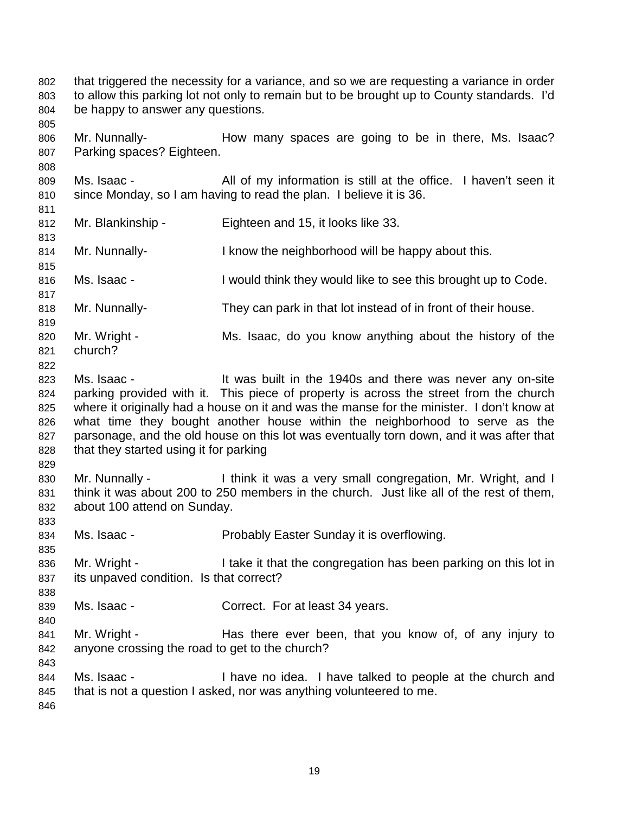802 that triggered the necessity for a variance, and so we are requesting a variance in order 803 to allow this parking lot not only to remain but to be brought up to County standards. I'd 804 be happy to answer any questions.

806 Mr. Nunnally- How many spaces are going to be in there, Ms. Isaac? 807 Parking spaces? Eighteen.

809 Ms. Isaac - All of my information is still at the office. I haven't seen it 810 since Monday, so I am having to read the plan. I believe it is 36.

812 Mr. Blankinship - Eighteen and 15, it looks like 33.

814 Mr. Nunnally- I know the neighborhood will be happy about this.

816 Ms. Isaac - I would think they would like to see this brought up to Code.

818 Mr. Nunnally- They can park in that lot instead of in front of their house.

819 820 Mr. Wright - Ms. Isaac, do you know anything about the history of the 821 church?

822

833

835

838

840

843

805

808

811

813

815

817

823 Ms. Isaac - It was built in the 1940s and there was never any on-site 824 parking provided with it. This piece of property is across the street from the church 825 where it originally had a house on it and was the manse for the minister. I don't know at 826 what time they bought another house within the neighborhood to serve as the 827 parsonage, and the old house on this lot was eventually torn down, and it was after that 828 that they started using it for parking

829 830 Mr. Nunnally - I think it was a very small congregation, Mr. Wright, and I 831 think it was about 200 to 250 members in the church. Just like all of the rest of them, 832 about 100 attend on Sunday.

834 Ms. Isaac - Probably Easter Sunday it is overflowing.

836 Mr. Wright - I take it that the congregation has been parking on this lot in 837 its unpaved condition. Is that correct?

839 Ms. Isaac - Correct. For at least 34 years.

841 Mr. Wright - Has there ever been, that you know of, of any injury to 842 anyone crossing the road to get to the church?

844 Ms. Isaac - I have no idea. I have talked to people at the church and 845 that is not a question I asked, nor was anything volunteered to me. 846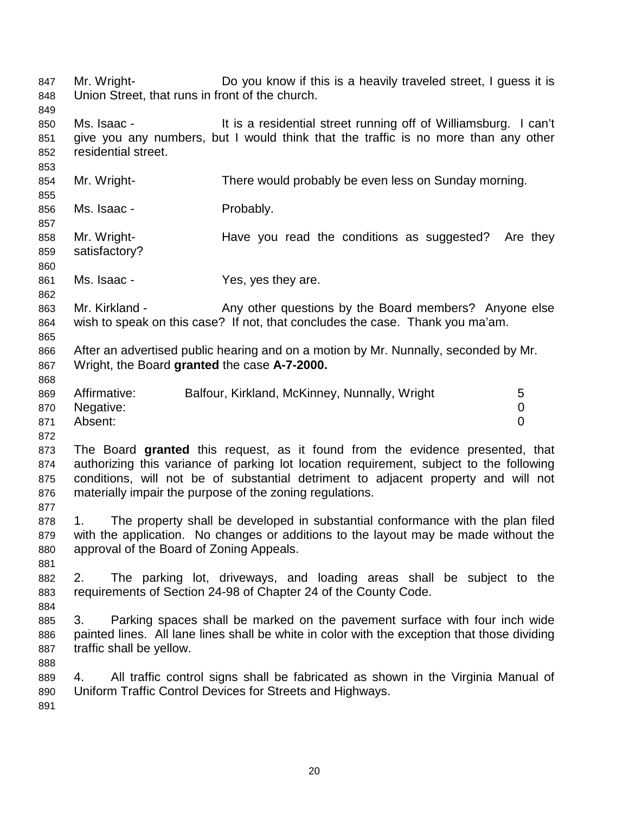847 Mr. Wright- Do you know if this is a heavily traveled street, I guess it is 848 Union Street, that runs in front of the church. 849 850 Ms. Isaac - It is a residential street running off of Williamsburg. I can't 851 give you any numbers, but I would think that the traffic is no more than any other 852 residential street. 853 854 Mr. Wright- There would probably be even less on Sunday morning. 855 856 Ms. Isaac - Probably. 857 858 Mr. Wright- **Have you read the conditions as suggested?** Are they 859 satisfactory? 860 861 Ms. Isaac - Yes, yes they are. 862 863 Mr. Kirkland - Any other questions by the Board members? Anyone else 864 wish to speak on this case? If not, that concludes the case. Thank you ma'am. 865 866 After an advertised public hearing and on a motion by Mr. Nunnally, seconded by Mr. 867 Wright, the Board **granted** the case **A-7-2000.**  868 869 Affirmative: Balfour, Kirkland, McKinney, Nunnally, Wright 5 870 Negative: 0 871 Absent: 0 872 873 The Board **granted** this request, as it found from the evidence presented, that 874 authorizing this variance of parking lot location requirement, subject to the following 875 conditions, will not be of substantial detriment to adjacent property and will not 876 materially impair the purpose of the zoning regulations. 877 878 1. The property shall be developed in substantial conformance with the plan filed 879 with the application. No changes or additions to the layout may be made without the 880 approval of the Board of Zoning Appeals. 881 882 2. The parking lot, driveways, and loading areas shall be subject to the 883 requirements of Section 24-98 of Chapter 24 of the County Code. 884 885 3. Parking spaces shall be marked on the pavement surface with four inch wide 886 painted lines. All lane lines shall be white in color with the exception that those dividing 887 traffic shall be yellow. 888 889 4. All traffic control signs shall be fabricated as shown in the Virginia Manual of 890 Uniform Traffic Control Devices for Streets and Highways. 891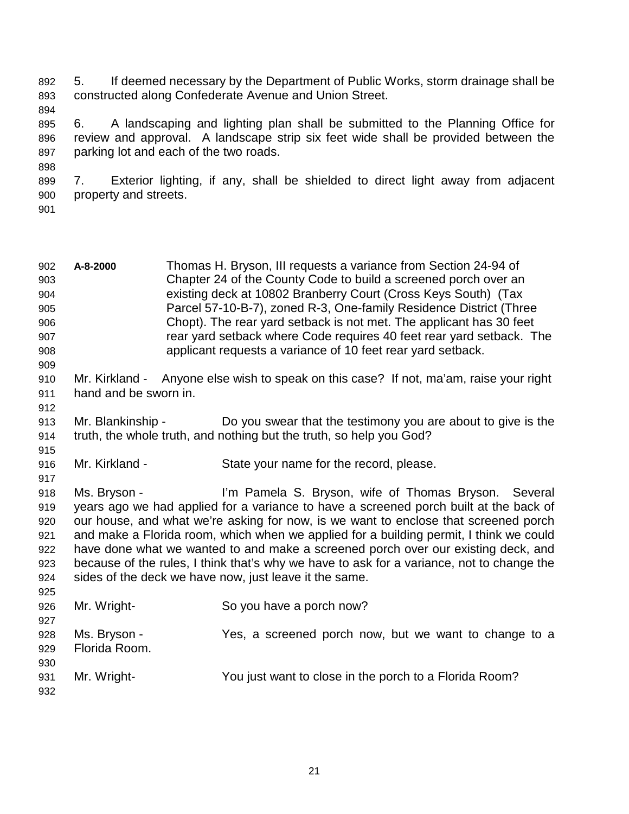892 5. If deemed necessary by the Department of Public Works, storm drainage shall be 893 constructed along Confederate Avenue and Union Street.

894

895 6. A landscaping and lighting plan shall be submitted to the Planning Office for 896 review and approval. A landscape strip six feet wide shall be provided between the 897 parking lot and each of the two roads.

899 7. Exterior lighting, if any, shall be shielded to direct light away from adjacent 900 property and streets.

901

898

| 902<br>903<br>904<br>905<br>906<br>907<br>908<br>909 | A-8-2000                      | Thomas H. Bryson, III requests a variance from Section 24-94 of<br>Chapter 24 of the County Code to build a screened porch over an<br>existing deck at 10802 Branberry Court (Cross Keys South) (Tax<br>Parcel 57-10-B-7), zoned R-3, One-family Residence District (Three<br>Chopt). The rear yard setback is not met. The applicant has 30 feet<br>rear yard setback where Code requires 40 feet rear yard setback. The<br>applicant requests a variance of 10 feet rear yard setback.                                                                                   |  |  |
|------------------------------------------------------|-------------------------------|----------------------------------------------------------------------------------------------------------------------------------------------------------------------------------------------------------------------------------------------------------------------------------------------------------------------------------------------------------------------------------------------------------------------------------------------------------------------------------------------------------------------------------------------------------------------------|--|--|
| 910<br>911<br>912                                    | hand and be sworn in.         | Mr. Kirkland - Anyone else wish to speak on this case? If not, ma'am, raise your right                                                                                                                                                                                                                                                                                                                                                                                                                                                                                     |  |  |
| 913<br>914<br>915                                    | Mr. Blankinship -             | Do you swear that the testimony you are about to give is the<br>truth, the whole truth, and nothing but the truth, so help you God?                                                                                                                                                                                                                                                                                                                                                                                                                                        |  |  |
| 916<br>917                                           | Mr. Kirkland -                | State your name for the record, please.                                                                                                                                                                                                                                                                                                                                                                                                                                                                                                                                    |  |  |
| 918<br>919<br>920<br>921<br>922<br>923<br>924<br>925 | Ms. Bryson -                  | I'm Pamela S. Bryson, wife of Thomas Bryson. Several<br>years ago we had applied for a variance to have a screened porch built at the back of<br>our house, and what we're asking for now, is we want to enclose that screened porch<br>and make a Florida room, which when we applied for a building permit, I think we could<br>have done what we wanted to and make a screened porch over our existing deck, and<br>because of the rules, I think that's why we have to ask for a variance, not to change the<br>sides of the deck we have now, just leave it the same. |  |  |
| 926<br>927                                           | Mr. Wright-                   | So you have a porch now?                                                                                                                                                                                                                                                                                                                                                                                                                                                                                                                                                   |  |  |
| 928<br>929<br>930                                    | Ms. Bryson -<br>Florida Room. | Yes, a screened porch now, but we want to change to a                                                                                                                                                                                                                                                                                                                                                                                                                                                                                                                      |  |  |
| 931<br>932                                           | Mr. Wright-                   | You just want to close in the porch to a Florida Room?                                                                                                                                                                                                                                                                                                                                                                                                                                                                                                                     |  |  |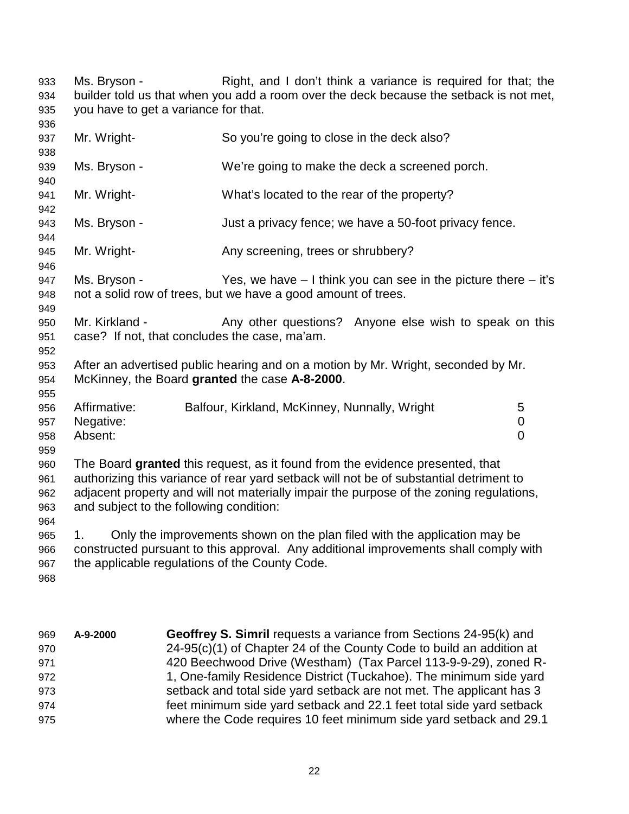| 933<br>934<br>935               | Right, and I don't think a variance is required for that; the<br>Ms. Bryson -<br>builder told us that when you add a room over the deck because the setback is not met,<br>you have to get a variance for that.                                                                                               |                                                                                                                                                                   |                                  |  |  |
|---------------------------------|---------------------------------------------------------------------------------------------------------------------------------------------------------------------------------------------------------------------------------------------------------------------------------------------------------------|-------------------------------------------------------------------------------------------------------------------------------------------------------------------|----------------------------------|--|--|
| 936<br>937<br>938               | Mr. Wright-                                                                                                                                                                                                                                                                                                   | So you're going to close in the deck also?                                                                                                                        |                                  |  |  |
| 939<br>940                      | Ms. Bryson -                                                                                                                                                                                                                                                                                                  | We're going to make the deck a screened porch.                                                                                                                    |                                  |  |  |
| 941<br>942                      | Mr. Wright-                                                                                                                                                                                                                                                                                                   | What's located to the rear of the property?                                                                                                                       |                                  |  |  |
| 943<br>944                      | Ms. Bryson -<br>Just a privacy fence; we have a 50-foot privacy fence.                                                                                                                                                                                                                                        |                                                                                                                                                                   |                                  |  |  |
| 945<br>946                      | Mr. Wright-<br>Any screening, trees or shrubbery?                                                                                                                                                                                                                                                             |                                                                                                                                                                   |                                  |  |  |
| 947<br>948<br>949               | Ms. Bryson -<br>Yes, we have $-1$ think you can see in the picture there $-$ it's<br>not a solid row of trees, but we have a good amount of trees.                                                                                                                                                            |                                                                                                                                                                   |                                  |  |  |
| 950<br>951<br>952               | Mr. Kirkland -<br>Any other questions? Anyone else wish to speak on this<br>case? If not, that concludes the case, ma'am.                                                                                                                                                                                     |                                                                                                                                                                   |                                  |  |  |
| 953<br>954<br>955               | After an advertised public hearing and on a motion by Mr. Wright, seconded by Mr.<br>McKinney, the Board granted the case A-8-2000.                                                                                                                                                                           |                                                                                                                                                                   |                                  |  |  |
| 956<br>957<br>958<br>959        | Affirmative:<br>Negative:<br>Absent:                                                                                                                                                                                                                                                                          | Balfour, Kirkland, McKinney, Nunnally, Wright                                                                                                                     | 5<br>$\pmb{0}$<br>$\overline{0}$ |  |  |
| 960<br>961<br>962<br>963<br>964 | The Board granted this request, as it found from the evidence presented, that<br>authorizing this variance of rear yard setback will not be of substantial detriment to<br>adjacent property and will not materially impair the purpose of the zoning regulations,<br>and subject to the following condition: |                                                                                                                                                                   |                                  |  |  |
| 965<br>966                      | 1.                                                                                                                                                                                                                                                                                                            | Only the improvements shown on the plan filed with the application may be<br>constructed pursuant to this approval. Any additional improvements shall comply with |                                  |  |  |

- 967 the applicable regulations of the County Code.
- 968
- 969 **A-9-2000 Geoffrey S. Simril** requests a variance from Sections 24-95(k) and 970 24-95(c)(1) of Chapter 24 of the County Code to build an addition at 971 420 Beechwood Drive (Westham) (Tax Parcel 113-9-9-29), zoned R-972 1, One-family Residence District (Tuckahoe). The minimum side yard 973 setback and total side yard setback are not met. The applicant has 3 974 feet minimum side yard setback and 22.1 feet total side yard setback 975 where the Code requires 10 feet minimum side yard setback and 29.1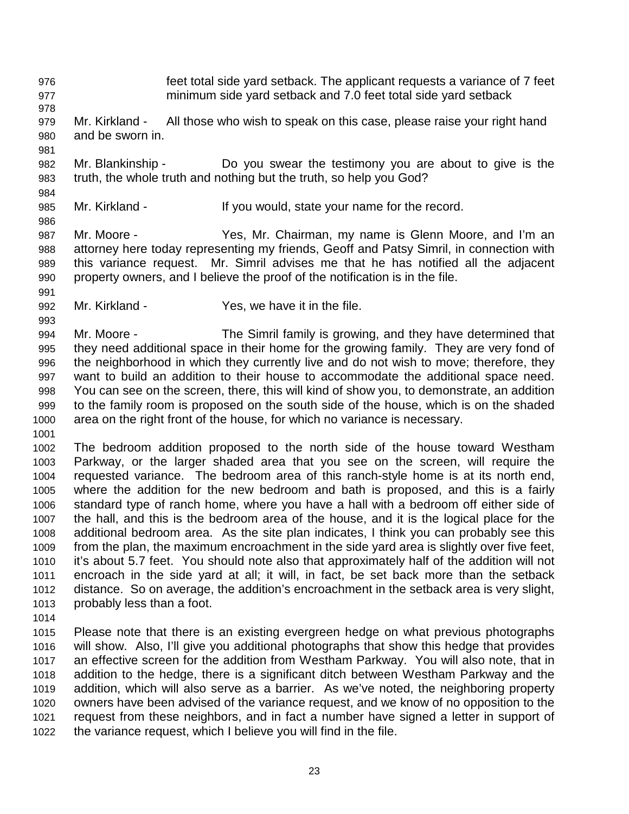976 feet total side yard setback. The applicant requests a variance of 7 feet 977 minimum side yard setback and 7.0 feet total side yard setback 978 979 Mr. Kirkland - All those who wish to speak on this case, please raise your right hand 980 and be sworn in. 981 982 Mr. Blankinship - Do you swear the testimony you are about to give is the 983 truth, the whole truth and nothing but the truth, so help you God? 984 985 Mr. Kirkland - If you would, state your name for the record. 986 987 Mr. Moore - Yes, Mr. Chairman, my name is Glenn Moore, and I'm an 988 attorney here today representing my friends, Geoff and Patsy Simril, in connection with 989 this variance request. Mr. Simril advises me that he has notified all the adjacent 990 property owners, and I believe the proof of the notification is in the file. 991 992 Mr. Kirkland - Yes, we have it in the file. 993

994 Mr. Moore - The Simril family is growing, and they have determined that 995 they need additional space in their home for the growing family. They are very fond of 996 the neighborhood in which they currently live and do not wish to move; therefore, they 997 want to build an addition to their house to accommodate the additional space need. 998 You can see on the screen, there, this will kind of show you, to demonstrate, an addition 999 to the family room is proposed on the south side of the house, which is on the shaded 1000 area on the right front of the house, for which no variance is necessary.

1001

1002 The bedroom addition proposed to the north side of the house toward Westham 1003 Parkway, or the larger shaded area that you see on the screen, will require the 1004 requested variance. The bedroom area of this ranch-style home is at its north end, 1005 where the addition for the new bedroom and bath is proposed, and this is a fairly 1006 standard type of ranch home, where you have a hall with a bedroom off either side of 1007 the hall, and this is the bedroom area of the house, and it is the logical place for the 1008 additional bedroom area. As the site plan indicates, I think you can probably see this 1009 from the plan, the maximum encroachment in the side yard area is slightly over five feet, 1010 it's about 5.7 feet. You should note also that approximately half of the addition will not 1011 encroach in the side yard at all; it will, in fact, be set back more than the setback 1012 distance. So on average, the addition's encroachment in the setback area is very slight, 1013 probably less than a foot.

1014

1015 Please note that there is an existing evergreen hedge on what previous photographs 1016 will show. Also, I'll give you additional photographs that show this hedge that provides 1017 an effective screen for the addition from Westham Parkway. You will also note, that in 1018 addition to the hedge, there is a significant ditch between Westham Parkway and the 1019 addition, which will also serve as a barrier. As we've noted, the neighboring property 1020 owners have been advised of the variance request, and we know of no opposition to the 1021 request from these neighbors, and in fact a number have signed a letter in support of 1022 the variance request, which I believe you will find in the file.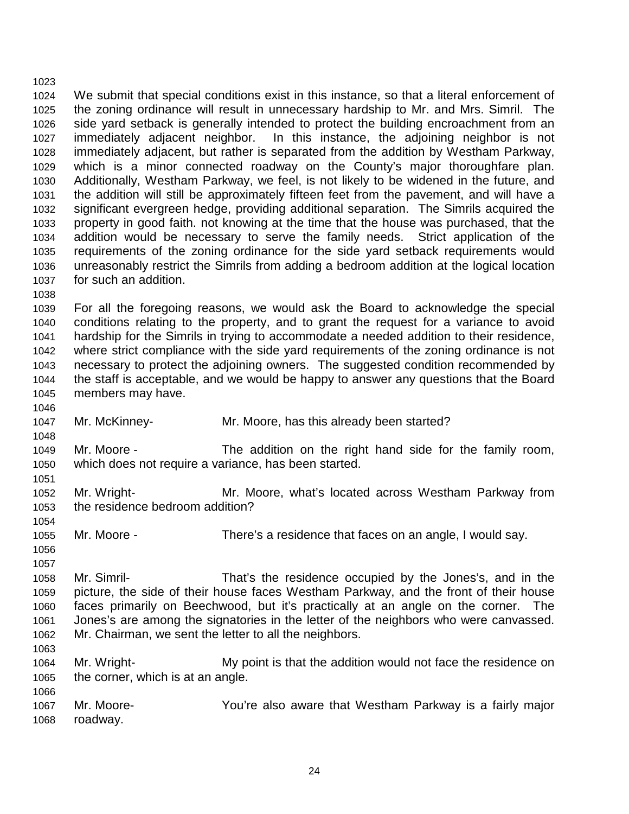1023 1024 We submit that special conditions exist in this instance, so that a literal enforcement of 1025 the zoning ordinance will result in unnecessary hardship to Mr. and Mrs. Simril. The 1026 side yard setback is generally intended to protect the building encroachment from an 1027 immediately adjacent neighbor. In this instance, the adjoining neighbor is not 1028 immediately adjacent, but rather is separated from the addition by Westham Parkway, 1029 which is a minor connected roadway on the County's major thoroughfare plan. 1030 Additionally, Westham Parkway, we feel, is not likely to be widened in the future, and 1031 the addition will still be approximately fifteen feet from the pavement, and will have a 1032 significant evergreen hedge, providing additional separation. The Simrils acquired the 1033 property in good faith. not knowing at the time that the house was purchased, that the 1034 addition would be necessary to serve the family needs. Strict application of the 1035 requirements of the zoning ordinance for the side yard setback requirements would 1036 unreasonably restrict the Simrils from adding a bedroom addition at the logical location 1037 for such an addition. 1038

1039 For all the foregoing reasons, we would ask the Board to acknowledge the special 1040 conditions relating to the property, and to grant the request for a variance to avoid 1041 hardship for the Simrils in trying to accommodate a needed addition to their residence, 1042 where strict compliance with the side yard requirements of the zoning ordinance is not 1043 necessary to protect the adjoining owners. The suggested condition recommended by 1044 the staff is acceptable, and we would be happy to answer any questions that the Board 1045 members may have.

1047 Mr. McKinney- Mr. Moore, has this already been started?

1049 Mr. Moore - The addition on the right hand side for the family room, 1050 which does not require a variance, has been started.

1052 Mr. Wright- Mr. Moore, what's located across Westham Parkway from 1053 the residence bedroom addition?

1055 Mr. Moore - There's a residence that faces on an angle, I would say.

1056

1063

1054

1046

1048

1051

1057 1058 Mr. Simril- That's the residence occupied by the Jones's, and in the 1059 picture, the side of their house faces Westham Parkway, and the front of their house 1060 faces primarily on Beechwood, but it's practically at an angle on the corner. The 1061 Jones's are among the signatories in the letter of the neighbors who were canvassed. 1062 Mr. Chairman, we sent the letter to all the neighbors.

1064 Mr. Wright- My point is that the addition would not face the residence on 1065 the corner, which is at an angle. 1066

1067 Mr. Moore- You're also aware that Westham Parkway is a fairly major 1068 roadway.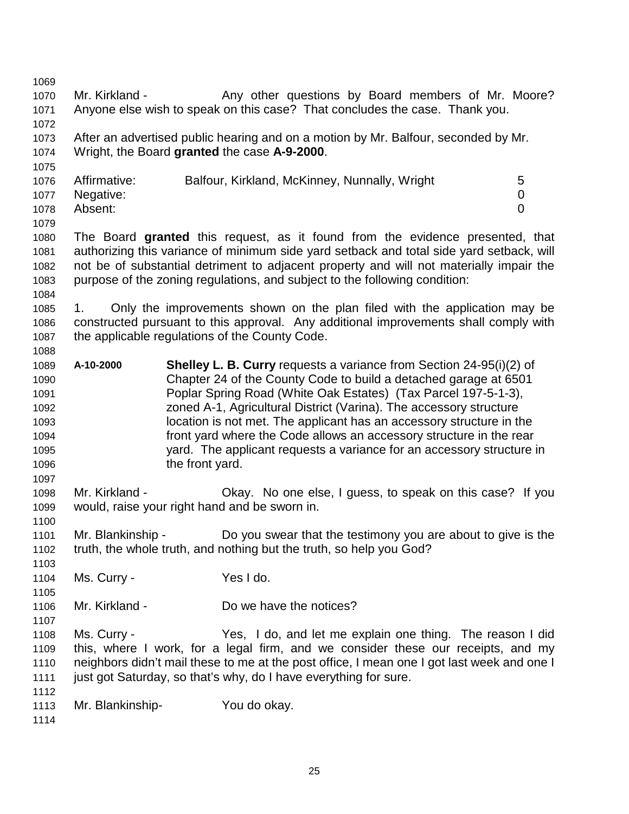1069 1070 Mr. Kirkland - Any other questions by Board members of Mr. Moore? 1071 Anyone else wish to speak on this case? That concludes the case. Thank you. 1072 1073 After an advertised public hearing and on a motion by Mr. Balfour, seconded by Mr. 1074 Wright, the Board **granted** the case **A-9-2000**. 1075 1076 Affirmative: Balfour, Kirkland, McKinney, Nunnally, Wright 5 1077 Negative: 0 1078 Absent: 0 1079 1080 The Board **granted** this request, as it found from the evidence presented, that 1081 authorizing this variance of minimum side yard setback and total side yard setback, will 1082 not be of substantial detriment to adjacent property and will not materially impair the 1083 purpose of the zoning regulations, and subject to the following condition: 1084 1085 1. Only the improvements shown on the plan filed with the application may be 1086 constructed pursuant to this approval. Any additional improvements shall comply with 1087 the applicable regulations of the County Code. 1088 1089 **A-10-2000 Shelley L. B. Curry** requests a variance from Section 24-95(i)(2) of 1090 Chapter 24 of the County Code to build a detached garage at 6501 1091 Poplar Spring Road (White Oak Estates) (Tax Parcel 197-5-1-3), 1092 zoned A-1, Agricultural District (Varina). The accessory structure 1093 location is not met. The applicant has an accessory structure in the 1094 front yard where the Code allows an accessory structure in the rear 1095 yard. The applicant requests a variance for an accessory structure in 1096 the front yard. 1097 1098 Mr. Kirkland - Okay. No one else, I guess, to speak on this case? If you 1099 would, raise your right hand and be sworn in. 1100 1101 Mr. Blankinship - Do you swear that the testimony you are about to give is the 1102 truth, the whole truth, and nothing but the truth, so help you God? 1103 1104 Ms. Curry - Yes I do. 1105 1106 Mr. Kirkland - Do we have the notices? 1107 1108 Ms. Curry - Yes, I do, and let me explain one thing. The reason I did 1109 this, where I work, for a legal firm, and we consider these our receipts, and my 1110 neighbors didn't mail these to me at the post office, I mean one I got last week and one I 1111 just got Saturday, so that's why, do I have everything for sure. 1112 1113 Mr. Blankinship- You do okay. 1114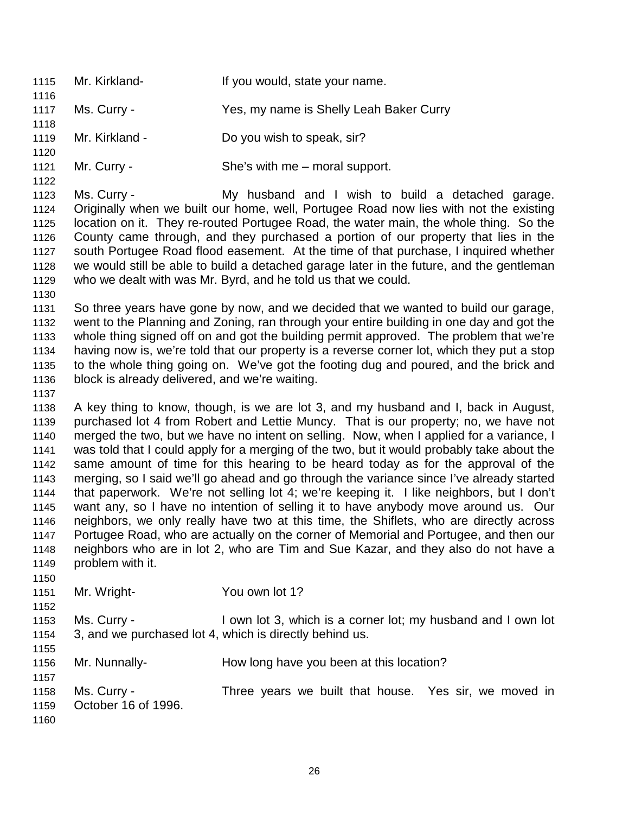1115 Mr. Kirkland- If you would, state your name. 1116 1117 Ms. Curry - Yes, my name is Shelly Leah Baker Curry 1118 1119 Mr. Kirkland - Do you wish to speak, sir? 1120 1121 Mr. Curry - She's with me – moral support. 1122 1123 Ms. Curry - My husband and I wish to build a detached garage. 1124 Originally when we built our home, well, Portugee Road now lies with not the existing 1125 location on it. They re-routed Portugee Road, the water main, the whole thing. So the 1126 County came through, and they purchased a portion of our property that lies in the 1127 south Portugee Road flood easement. At the time of that purchase, I inquired whether 1128 we would still be able to build a detached garage later in the future, and the gentleman 1129 who we dealt with was Mr. Byrd, and he told us that we could. 1130 1131 So three years have gone by now, and we decided that we wanted to build our garage, 1132 went to the Planning and Zoning, ran through your entire building in one day and got the 1133 whole thing signed off on and got the building permit approved. The problem that we're 1134 having now is, we're told that our property is a reverse corner lot, which they put a stop 1135 to the whole thing going on. We've got the footing dug and poured, and the brick and 1136 block is already delivered, and we're waiting. 1137 1138 A key thing to know, though, is we are lot 3, and my husband and I, back in August, 1139 purchased lot 4 from Robert and Lettie Muncy. That is our property; no, we have not 1140 merged the two, but we have no intent on selling. Now, when I applied for a variance, I 1141 was told that I could apply for a merging of the two, but it would probably take about the 1142 same amount of time for this hearing to be heard today as for the approval of the 1143 merging, so I said we'll go ahead and go through the variance since I've already started 1144 that paperwork. We're not selling lot 4; we're keeping it. I like neighbors, but I don't 1145 want any, so I have no intention of selling it to have anybody move around us. Our 1146 neighbors, we only really have two at this time, the Shiflets, who are directly across 1147 Portugee Road, who are actually on the corner of Memorial and Portugee, and then our 1148 neighbors who are in lot 2, who are Tim and Sue Kazar, and they also do not have a 1149 problem with it. 1150 1151 Mr. Wright- You own lot 1? 1152 1153 Ms. Curry - I own lot 3, which is a corner lot; my husband and I own lot 1154 3, and we purchased lot 4, which is directly behind us. 1155 1156 Mr. Nunnally- How long have you been at this location? 1157 1158 Ms. Curry - Three years we built that house. Yes sir, we moved in 1159 October 16 of 1996. 1160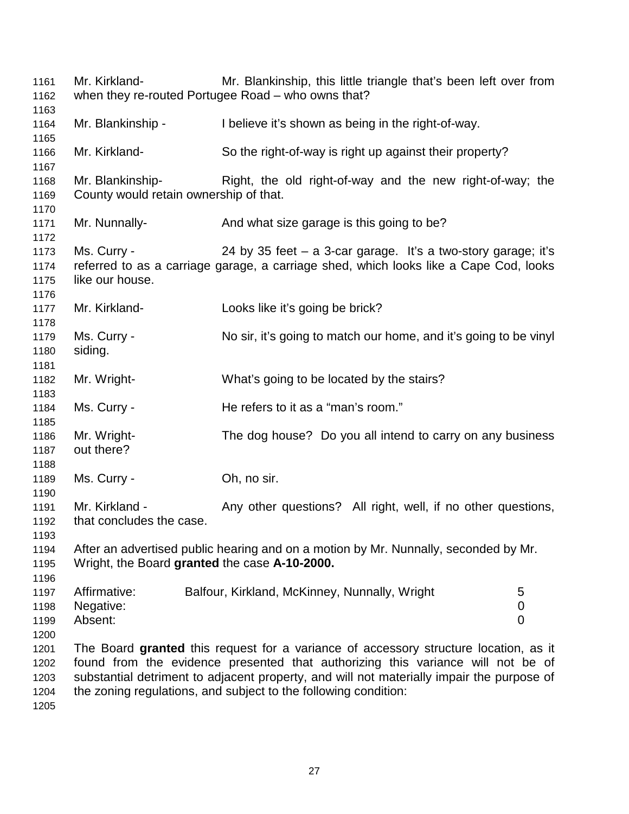1161 Mr. Kirkland- Mr. Blankinship, this little triangle that's been left over from 1162 when they re-routed Portugee Road – who owns that? 1163 1164 Mr. Blankinship - I believe it's shown as being in the right-of-way. 1165 1166 Mr. Kirkland- So the right-of-way is right up against their property? 1167 1168 Mr. Blankinship- Right, the old right-of-way and the new right-of-way; the 1169 County would retain ownership of that. 1170 1171 Mr. Nunnally-<br>And what size garage is this going to be? 1172 1173 Ms. Curry - 24 by 35 feet – a 3-car garage. It's a two-story garage; it's 1174 referred to as a carriage garage, a carriage shed, which looks like a Cape Cod, looks 1175 like our house. 1176 1177 Mr. Kirkland- Looks like it's going be brick? 1178 1179 Ms. Curry - No sir, it's going to match our home, and it's going to be vinyl 1180 siding. 1181 1182 Mr. Wright- What's going to be located by the stairs? 1183 1184 Ms. Curry - He refers to it as a "man's room." 1185 1186 Mr. Wright- The dog house? Do you all intend to carry on any business 1187 out there? 1188 1189 Ms. Curry - Ch, no sir. 1190 1191 Mr. Kirkland - Any other questions? All right, well, if no other questions, 1192 that concludes the case. 1193 1194 After an advertised public hearing and on a motion by Mr. Nunnally, seconded by Mr. 1195 Wright, the Board **granted** the case **A-10-2000.** 1196 1197 Affirmative: Balfour, Kirkland, McKinney, Nunnally, Wright 5 1198 Negative: 0 1199 Absent: 0 1200 1201 The Board **granted** this request for a variance of accessory structure location, as it 1202 found from the evidence presented that authorizing this variance will not be of 1203 substantial detriment to adjacent property, and will not materially impair the purpose of 1204 the zoning regulations, and subject to the following condition: 1205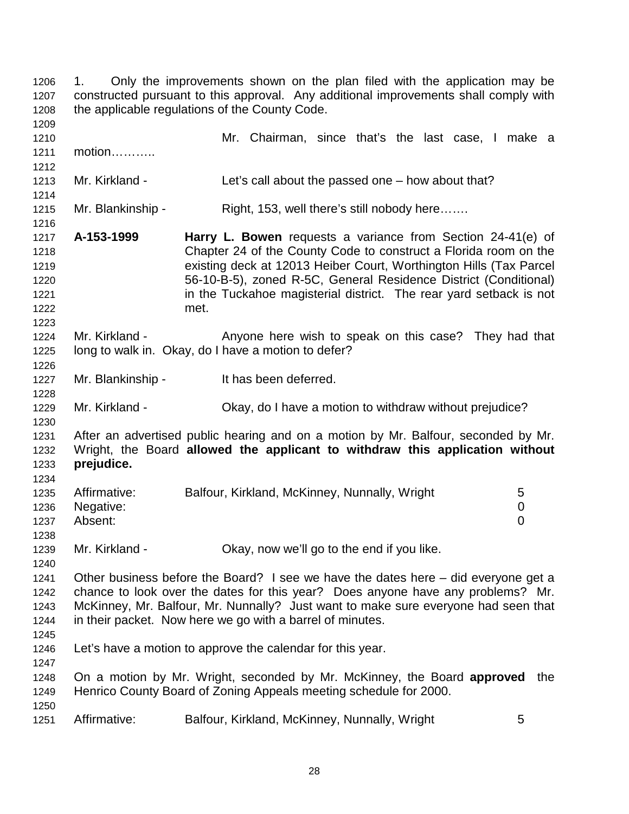1206 1. Only the improvements shown on the plan filed with the application may be 1207 constructed pursuant to this approval. Any additional improvements shall comply with 1208 the applicable regulations of the County Code. 1209 1210 Mr. Chairman, since that's the last case, I make a 1211 motion……….. 1212 1213 Mr. Kirkland - Let's call about the passed one – how about that? 1214 1215 Mr. Blankinship - Right, 153, well there's still nobody here……. 1216 1217 **A-153-1999 Harry L. Bowen** requests a variance from Section 24-41(e) of 1218 Chapter 24 of the County Code to construct a Florida room on the 1219 existing deck at 12013 Heiber Court, Worthington Hills (Tax Parcel 1220 56-10-B-5), zoned R-5C, General Residence District (Conditional) 1221 **in the Tuckahoe magisterial district.** The rear yard setback is not 1222 met. 1223 1224 Mr. Kirkland - Anyone here wish to speak on this case? They had that 1225 long to walk in. Okay, do I have a motion to defer? 1226 1227 Mr. Blankinship - It has been deferred. 1228 1229 Mr. Kirkland - Okay, do I have a motion to withdraw without prejudice? 1230 1231 After an advertised public hearing and on a motion by Mr. Balfour, seconded by Mr. 1232 Wright, the Board **allowed the applicant to withdraw this application without**  1233 **prejudice.**  1234 1235 Affirmative: Balfour, Kirkland, McKinney, Nunnally, Wright 5 1236 Negative: 0 1237 Absent: 0 1238 1239 Mr. Kirkland - Okay, now we'll go to the end if you like. 1240 1241 Other business before the Board? I see we have the dates here – did everyone get a 1242 chance to look over the dates for this year? Does anyone have any problems? Mr. 1243 McKinney, Mr. Balfour, Mr. Nunnally? Just want to make sure everyone had seen that 1244 in their packet. Now here we go with a barrel of minutes. 1245 1246 Let's have a motion to approve the calendar for this year. 1247 1248 On a motion by Mr. Wright, seconded by Mr. McKinney, the Board **approved** the 1249 Henrico County Board of Zoning Appeals meeting schedule for 2000. 1250 1251 Affirmative: Balfour, Kirkland, McKinney, Nunnally, Wright 5